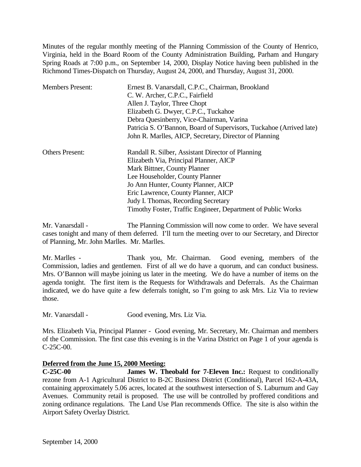Minutes of the regular monthly meeting of the Planning Commission of the County of Henrico, Virginia, held in the Board Room of the County Administration Building, Parham and Hungary Spring Roads at 7:00 p.m., on September 14, 2000, Display Notice having been published in the Richmond Times-Dispatch on Thursday, August 24, 2000, and Thursday, August 31, 2000.

| <b>Members Present:</b> | Ernest B. Vanarsdall, C.P.C., Chairman, Brookland                   |
|-------------------------|---------------------------------------------------------------------|
|                         | C. W. Archer, C.P.C., Fairfield                                     |
|                         | Allen J. Taylor, Three Chopt                                        |
|                         | Elizabeth G. Dwyer, C.P.C., Tuckahoe                                |
|                         | Debra Quesinberry, Vice-Chairman, Varina                            |
|                         | Patricia S. O'Bannon, Board of Supervisors, Tuckahoe (Arrived late) |
|                         | John R. Marlles, AICP, Secretary, Director of Planning              |
| <b>Others Present:</b>  | Randall R. Silber, Assistant Director of Planning                   |
|                         | Elizabeth Via, Principal Planner, AICP                              |
|                         | Mark Bittner, County Planner                                        |
|                         | Lee Householder, County Planner                                     |
|                         | Jo Ann Hunter, County Planner, AICP                                 |
|                         | Eric Lawrence, County Planner, AICP                                 |
|                         | Judy I. Thomas, Recording Secretary                                 |
|                         | Timothy Foster, Traffic Engineer, Department of Public Works        |

Mr. Vanarsdall - The Planning Commission will now come to order. We have several cases tonight and many of them deferred. I'll turn the meeting over to our Secretary, and Director of Planning, Mr. John Marlles. Mr. Marlles.

Mr. Marlles - Thank you, Mr. Chairman. Good evening, members of the Commission, ladies and gentlemen. First of all we do have a quorum, and can conduct business. Mrs. O'Bannon will maybe joining us later in the meeting. We do have a number of items on the agenda tonight. The first item is the Requests for Withdrawals and Deferrals. As the Chairman indicated, we do have quite a few deferrals tonight, so I'm going to ask Mrs. Liz Via to review those.

Mr. Vanarsdall - Good evening, Mrs. Liz Via.

Mrs. Elizabeth Via, Principal Planner - Good evening, Mr. Secretary, Mr. Chairman and members of the Commission. The first case this evening is in the Varina District on Page 1 of your agenda is C-25C-00.

## **Deferred from the June 15, 2000 Meeting:**

**C-25C-00 James W. Theobald for 7-Eleven Inc.:** Request to conditionally rezone from A-1 Agricultural District to B-2C Business District (Conditional), Parcel 162-A-43A, containing approximately 5.06 acres, located at the southwest intersection of S. Laburnum and Gay Avenues. Community retail is proposed. The use will be controlled by proffered conditions and zoning ordinance regulations. The Land Use Plan recommends Office. The site is also within the Airport Safety Overlay District.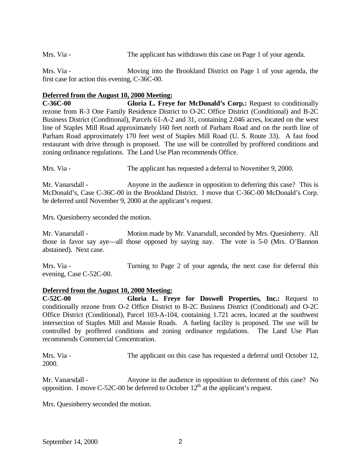Mrs. Via - The applicant has withdrawn this case on Page 1 of your agenda.

Mrs. Via - Moving into the Brookland District on Page 1 of your agenda, the first case for action this evening, C-36C-00.

#### **Deferred from the August 10, 2000 Meeting:**

**C-36C-00 Gloria L. Freye for McDonald's Corp.:** Request to conditionally rezone from R-3 One Family Residence District to O-2C Office District (Conditional) and B-2C Business District (Conditional), Parcels 61-A-2 and 31, containing 2.046 acres, located on the west line of Staples Mill Road approximately 160 feet north of Parham Road and on the north line of Parham Road approximately 170 feet west of Staples Mill Road (U. S. Route 33). A fast food restaurant with drive through is proposed. The use will be controlled by proffered conditions and zoning ordinance regulations. The Land Use Plan recommends Office.

Mrs. Via - The applicant has requested a deferral to November 9, 2000.

Mr. Vanarsdall - Anyone in the audience in opposition to deferring this case? This is McDonald's, Case C-36C-00 in the Brookland District. I move that C-36C-00 McDonald's Corp. be deferred until November 9, 2000 at the applicant's request.

Mrs. Quesinberry seconded the motion.

Mr. Vanarsdall - Motion made by Mr. Vanarsdall, seconded by Mrs. Quesinberry. All those in favor say aye—all those opposed by saying nay. The vote is 5-0 (Mrs. O'Bannon abstained). Next case.

Mrs. Via - Turning to Page 2 of your agenda, the next case for deferral this evening, Case C-52C-00.

#### **Deferred from the August 10, 2000 Meeting:**

**C-52C-00 Gloria L. Freye for Doswell Properties, Inc.:** Request to conditionally rezone from O-2 Office District to B-2C Business District (Conditional) and O-2C Office District (Conditional), Parcel 103-A-104, containing 1.721 acres, located at the southwest intersection of Staples Mill and Massie Roads. A fueling facility is proposed. The use will be controlled by proffered conditions and zoning ordinance regulations. The Land Use Plan recommends Commercial Concentration.

Mrs. Via - The applicant on this case has requested a deferral until October 12, 2000.

Mr. Vanarsdall - Anyone in the audience in opposition to deferment of this case? No opposition. I move C-52C-00 be deferred to October  $12<sup>th</sup>$  at the applicant's request.

Mrs. Quesinberry seconded the motion.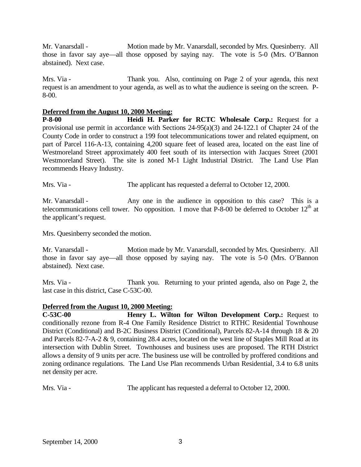Mr. Vanarsdall - Motion made by Mr. Vanarsdall, seconded by Mrs. Quesinberry. All those in favor say aye—all those opposed by saying nay. The vote is 5-0 (Mrs. O'Bannon abstained). Next case.

Mrs. Via - Thank you. Also, continuing on Page 2 of your agenda, this next request is an amendment to your agenda, as well as to what the audience is seeing on the screen. P-8-00.

#### **Deferred from the August 10, 2000 Meeting:**

**P-8-00 Heidi H. Parker for RCTC Wholesale Corp.:** Request for a provisional use permit in accordance with Sections 24-95(a)(3) and 24-122.1 of Chapter 24 of the County Code in order to construct a 199 foot telecommunications tower and related equipment, on part of Parcel 116-A-13, containing 4,200 square feet of leased area, located on the east line of Westmoreland Street approximately 400 feet south of its intersection with Jacques Street (2001 Westmoreland Street). The site is zoned M-1 Light Industrial District. The Land Use Plan recommends Heavy Industry.

Mrs. Via - The applicant has requested a deferral to October 12, 2000.

Mr. Vanarsdall - Any one in the audience in opposition to this case? This is a telecommunications cell tower. No opposition. I move that P-8-00 be deferred to October  $12<sup>th</sup>$  at the applicant's request.

Mrs. Quesinberry seconded the motion.

Mr. Vanarsdall - Motion made by Mr. Vanarsdall, seconded by Mrs. Quesinberry. All those in favor say aye—all those opposed by saying nay. The vote is 5-0 (Mrs. O'Bannon abstained). Next case.

Mrs. Via - Thank you. Returning to your printed agenda, also on Page 2, the last case in this district, Case C-53C-00.

#### **Deferred from the August 10, 2000 Meeting:**

**C-53C-00 Henry L. Wilton for Wilton Development Corp.:** Request to conditionally rezone from R-4 One Family Residence District to RTHC Residential Townhouse District (Conditional) and B-2C Business District (Conditional), Parcels 82-A-14 through 18 & 20 and Parcels 82-7-A-2 & 9, containing 28.4 acres, located on the west line of Staples Mill Road at its intersection with Dublin Street. Townhouses and business uses are proposed. The RTH District allows a density of 9 units per acre. The business use will be controlled by proffered conditions and zoning ordinance regulations. The Land Use Plan recommends Urban Residential, 3.4 to 6.8 units net density per acre.

Mrs. Via - The applicant has requested a deferral to October 12, 2000.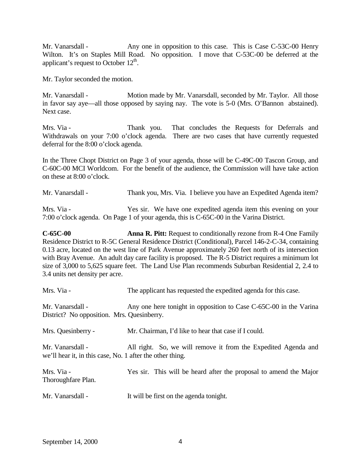Mr. Vanarsdall - Any one in opposition to this case. This is Case C-53C-00 Henry Wilton. It's on Staples Mill Road. No opposition. I move that C-53C-00 be deferred at the applicant's request to October  $12<sup>th</sup>$ .

Mr. Taylor seconded the motion.

Mr. Vanarsdall - Motion made by Mr. Vanarsdall, seconded by Mr. Taylor. All those in favor say aye—all those opposed by saying nay. The vote is 5-0 (Mrs. O'Bannon abstained). Next case.

Mrs. Via - Thank you. That concludes the Requests for Deferrals and Withdrawals on your 7:00 o'clock agenda. There are two cases that have currently requested deferral for the 8:00 o'clock agenda.

In the Three Chopt District on Page 3 of your agenda, those will be C-49C-00 Tascon Group, and C-60C-00 MCI Worldcom. For the benefit of the audience, the Commission will have take action on these at 8:00 o'clock.

| Mr. Vanarsdall - | Thank you, Mrs. Via. I believe you have an Expedited Agenda item? |  |
|------------------|-------------------------------------------------------------------|--|
|                  |                                                                   |  |

Mrs. Via - Yes sir. We have one expedited agenda item this evening on your 7:00 o'clock agenda. On Page 1 of your agenda, this is C-65C-00 in the Varina District.

**C-65C-00 Anna R. Pitt:** Request to conditionally rezone from R-4 One Family Residence District to R-5C General Residence District (Conditional), Parcel 146-2-C-34, containing 0.13 acre, located on the west line of Park Avenue approximately 260 feet north of its intersection with Bray Avenue. An adult day care facility is proposed. The R-5 District requires a minimum lot size of 3,000 to 5,625 square feet. The Land Use Plan recommends Suburban Residential 2, 2.4 to 3.4 units net density per acre.

| Mrs. Via -                                                                    | The applicant has requested the expedited agenda for this case.   |
|-------------------------------------------------------------------------------|-------------------------------------------------------------------|
| Mr. Vanarsdall -<br>District? No opposition. Mrs. Quesinberry.                | Any one here tonight in opposition to Case C-65C-00 in the Varina |
| Mrs. Quesinberry -                                                            | Mr. Chairman, I'd like to hear that case if I could.              |
| Mr. Vanarsdall -<br>we'll hear it, in this case, No. 1 after the other thing. | All right. So, we will remove it from the Expedited Agenda and    |
| Mrs. Via -<br>Thoroughfare Plan.                                              | Yes sir. This will be heard after the proposal to amend the Major |

Mr. Vanarsdall - It will be first on the agenda tonight.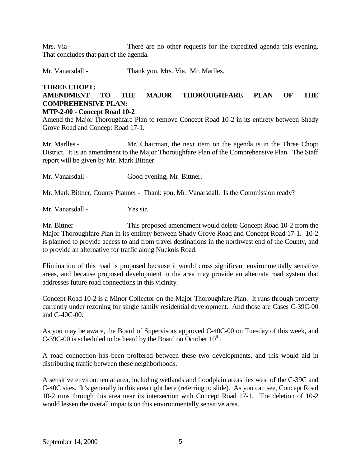Mrs. Via - There are no other requests for the expedited agenda this evening. That concludes that part of the agenda.

Mr. Vanarsdall - Thank you, Mrs. Via. Mr. Marlles.

# **THREE CHOPT: AMENDMENT TO THE MAJOR THOROUGHFARE PLAN OF THE COMPREHENSIVE PLAN:**

#### **MTP-2-00 - Concept Road 10-2**

Amend the Major Thoroughfare Plan to remove Concept Road 10-2 in its entirety between Shady Grove Road and Concept Road 17-1.

Mr. Marlles - Mr. Chairman, the next item on the agenda is in the Three Chopt District. It is an amendment to the Major Thoroughfare Plan of the Comprehensive Plan. The Staff report will be given by Mr. Mark Bittner.

Mr. Vanarsdall - Good evening, Mr. Bittner.

Mr. Mark Bittner, County Planner - Thank you, Mr. Vanarsdall. Is the Commission ready?

Mr. Vanarsdall - Yes sir.

Mr. Bittner - This proposed amendment would delete Concept Road 10-2 from the Major Thoroughfare Plan in its entirety between Shady Grove Road and Concept Road 17-1. 10-2 is planned to provide access to and from travel destinations in the northwest end of the County, and to provide an alternative for traffic along Nuckols Road.

Elimination of this road is proposed because it would cross significant environmentally sensitive areas, and because proposed development in the area may provide an alternate road system that addresses future road connections in this vicinity.

Concept Road 10-2 is a Minor Collector on the Major Thoroughfare Plan. It runs through property currently under rezoning for single family residential development. And those are Cases C-39C-00 and C-40C-00.

As you may be aware, the Board of Supervisors approved C-40C-00 on Tuesday of this week, and C-39C-00 is scheduled to be heard by the Board on October  $10^{th}$ .

A road connection has been proffered between these two developments, and this would aid in distributing traffic between these neighborhoods.

A sensitive environmental area, including wetlands and floodplain areas lies west of the C-39C and C-40C sites. It's generally in this area right here (referring to slide). As you can see, Concept Road 10-2 runs through this area near its intersection with Concept Road 17-1. The deletion of 10-2 would lessen the overall impacts on this environmentally sensitive area.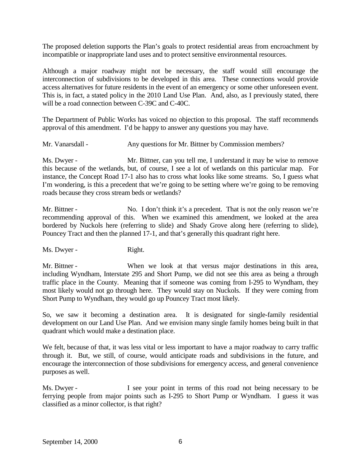The proposed deletion supports the Plan's goals to protect residential areas from encroachment by incompatible or inappropriate land uses and to protect sensitive environmental resources.

Although a major roadway might not be necessary, the staff would still encourage the interconnection of subdivisions to be developed in this area. These connections would provide access alternatives for future residents in the event of an emergency or some other unforeseen event. This is, in fact, a stated policy in the 2010 Land Use Plan. And, also, as I previously stated, there will be a road connection between C-39C and C-40C.

The Department of Public Works has voiced no objection to this proposal. The staff recommends approval of this amendment. I'd be happy to answer any questions you may have.

Mr. Vanarsdall - Any questions for Mr. Bittner by Commission members?

Ms. Dwyer - Mr. Bittner, can you tell me, I understand it may be wise to remove this because of the wetlands, but, of course, I see a lot of wetlands on this particular map. For instance, the Concept Road 17-1 also has to cross what looks like some streams. So, I guess what I'm wondering, is this a precedent that we're going to be setting where we're going to be removing roads because they cross stream beds or wetlands?

Mr. Bittner - No. I don't think it's a precedent. That is not the only reason we're recommending approval of this. When we examined this amendment, we looked at the area bordered by Nuckols here (referring to slide) and Shady Grove along here (referring to slide), Pouncey Tract and then the planned 17-1, and that's generally this quadrant right here.

Ms. Dwyer - Right.

Mr. Bittner - When we look at that versus major destinations in this area, including Wyndham, Interstate 295 and Short Pump, we did not see this area as being a through traffic place in the County. Meaning that if someone was coming from I-295 to Wyndham, they most likely would not go through here. They would stay on Nuckols. If they were coming from Short Pump to Wyndham, they would go up Pouncey Tract most likely.

So, we saw it becoming a destination area. It is designated for single-family residential development on our Land Use Plan. And we envision many single family homes being built in that quadrant which would make a destination place.

We felt, because of that, it was less vital or less important to have a major roadway to carry traffic through it. But, we still, of course, would anticipate roads and subdivisions in the future, and encourage the interconnection of those subdivisions for emergency access, and general convenience purposes as well.

Ms. Dwyer - I see your point in terms of this road not being necessary to be ferrying people from major points such as I-295 to Short Pump or Wyndham. I guess it was classified as a minor collector, is that right?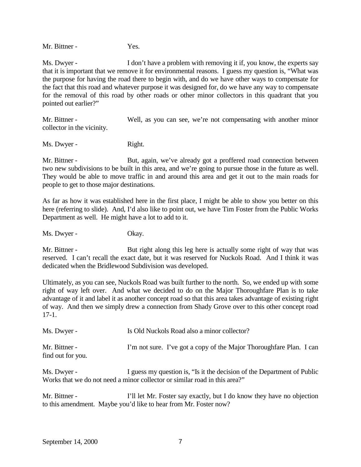Mr. Bittner - Yes.

Ms. Dwyer - I don't have a problem with removing it if, you know, the experts say that it is important that we remove it for environmental reasons. I guess my question is, "What was the purpose for having the road there to begin with, and do we have other ways to compensate for the fact that this road and whatever purpose it was designed for, do we have any way to compensate for the removal of this road by other roads or other minor collectors in this quadrant that you pointed out earlier?"

Mr. Bittner - Well, as you can see, we're not compensating with another minor collector in the vicinity.

Ms. Dwyer - Right.

Mr. Bittner - But, again, we've already got a proffered road connection between two new subdivisions to be built in this area, and we're going to pursue those in the future as well. They would be able to move traffic in and around this area and get it out to the main roads for people to get to those major destinations.

As far as how it was established here in the first place, I might be able to show you better on this here (referring to slide). And, I'd also like to point out, we have Tim Foster from the Public Works Department as well. He might have a lot to add to it.

Ms. Dwyer - Okay.

Mr. Bittner - But right along this leg here is actually some right of way that was reserved. I can't recall the exact date, but it was reserved for Nuckols Road. And I think it was dedicated when the Bridlewood Subdivision was developed.

Ultimately, as you can see, Nuckols Road was built further to the north. So, we ended up with some right of way left over. And what we decided to do on the Major Thoroughfare Plan is to take advantage of it and label it as another concept road so that this area takes advantage of existing right of way. And then we simply drew a connection from Shady Grove over to this other concept road 17-1.

| Ms. Dwyer -                        | Is Old Nuckols Road also a minor collector?                         |
|------------------------------------|---------------------------------------------------------------------|
| Mr. Bittner -<br>find out for you. | I'm not sure. I've got a copy of the Major Thoroughfare Plan. I can |

Ms. Dwyer - I guess my question is, "Is it the decision of the Department of Public Works that we do not need a minor collector or similar road in this area?"

Mr. Bittner - I'll let Mr. Foster say exactly, but I do know they have no objection to this amendment. Maybe you'd like to hear from Mr. Foster now?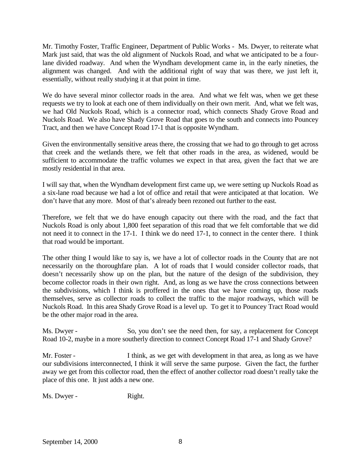Mr. Timothy Foster, Traffic Engineer, Department of Public Works - Ms. Dwyer, to reiterate what Mark just said, that was the old alignment of Nuckols Road, and what we anticipated to be a fourlane divided roadway. And when the Wyndham development came in, in the early nineties, the alignment was changed. And with the additional right of way that was there, we just left it, essentially, without really studying it at that point in time.

We do have several minor collector roads in the area. And what we felt was, when we get these requests we try to look at each one of them individually on their own merit. And, what we felt was, we had Old Nuckols Road, which is a connector road, which connects Shady Grove Road and Nuckols Road. We also have Shady Grove Road that goes to the south and connects into Pouncey Tract, and then we have Concept Road 17-1 that is opposite Wyndham.

Given the environmentally sensitive areas there, the crossing that we had to go through to get across that creek and the wetlands there, we felt that other roads in the area, as widened, would be sufficient to accommodate the traffic volumes we expect in that area, given the fact that we are mostly residential in that area.

I will say that, when the Wyndham development first came up, we were setting up Nuckols Road as a six-lane road because we had a lot of office and retail that were anticipated at that location. We don't have that any more. Most of that's already been rezoned out further to the east.

Therefore, we felt that we do have enough capacity out there with the road, and the fact that Nuckols Road is only about 1,800 feet separation of this road that we felt comfortable that we did not need it to connect in the 17-1. I think we do need 17-1, to connect in the center there. I think that road would be important.

The other thing I would like to say is, we have a lot of collector roads in the County that are not necessarily on the thoroughfare plan. A lot of roads that I would consider collector roads, that doesn't necessarily show up on the plan, but the nature of the design of the subdivision, they become collector roads in their own right. And, as long as we have the cross connections between the subdivisions, which I think is proffered in the ones that we have coming up, those roads themselves, serve as collector roads to collect the traffic to the major roadways, which will be Nuckols Road. In this area Shady Grove Road is a level up. To get it to Pouncey Tract Road would be the other major road in the area.

Ms. Dwyer - So, you don't see the need then, for say, a replacement for Concept Road 10-2, maybe in a more southerly direction to connect Concept Road 17-1 and Shady Grove?

Mr. Foster - I think, as we get with development in that area, as long as we have our subdivisions interconnected, I think it will serve the same purpose. Given the fact, the further away we get from this collector road, then the effect of another collector road doesn't really take the place of this one. It just adds a new one.

Ms. Dwyer - Right.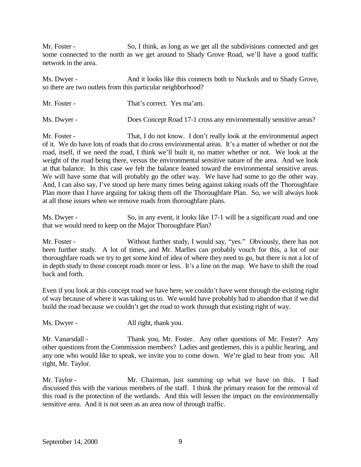Mr. Foster - So, I think, as long as we get all the subdivisions connected and get some connected to the north as we get around to Shady Grove Road, we'll have a good traffic network in the area.

Ms. Dwyer - And it looks like this connects both to Nuckols and to Shady Grove, so there are two outlets from this particular neighborhood?

| Mr. Foster - | That's correct. Yes ma'am.                                        |
|--------------|-------------------------------------------------------------------|
| Ms. Dwyer -  | Does Concept Road 17-1 cross any environmentally sensitive areas? |

Mr. Foster - That, I do not know. I don't really look at the environmental aspect of it. We do have lots of roads that do cross environmental areas. It's a matter of whether or not the road, itself, if we need the road, I think we'll built it, no matter whether or not. We look at the weight of the road being there, versus the environmental sensitive nature of the area. And we look at that balance. In this case we felt the balance leaned toward the environmental sensitive areas. We will have some that will probably go the other way. We have had some to go the other way. And, I can also say, I've stood up here many times being against taking roads off the Thoroughfare Plan more than I have arguing for taking them off the Thoroughfare Plan. So, we will always look at all those issues when we remove roads from thoroughfare plans.

Ms. Dwyer - So, in any event, it looks like 17-1 will be a significant road and one that we would need to keep on the Major Thoroughfare Plan?

Mr. Foster - Without further study, I would say, "yes." Obviously, there has not been further study. A lot of times, and Mr. Marlles can probably vouch for this, a lot of our thoroughfare roads we try to get some kind of idea of where they need to go, but there is not a lot of in depth study to those concept roads more or less. It's a line on the map. We have to shift the road back and forth.

Even if you look at this concept road we have here, we couldn't have went through the existing right of way because of where it was taking us to. We would have probably had to abandon that if we did build the road because we couldn't get the road to work through that existing right of way.

Ms. Dwyer - All right, thank you.

Mr. Vanarsdall - Thank you, Mr. Foster. Any other questions of Mr. Foster? Any other questions from the Commission members? Ladies and gentlemen, this is a public hearing, and any one who would like to speak, we invite you to come down. We're glad to hear from you. All right, Mr. Taylor.

Mr. Taylor - Mr. Chairman, just summing up what we have on this. I had discussed this with the various members of the staff. I think the primary reason for the removal of this road is the protection of the wetlands. And this will lessen the impact on the environmentally sensitive area. And it is not seen as an area now of through traffic.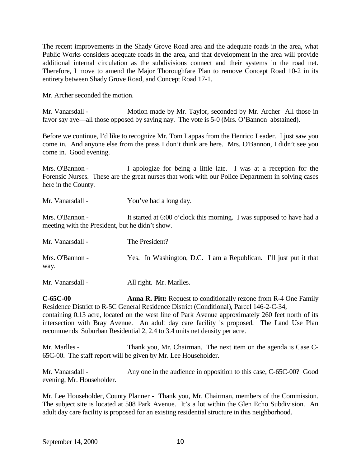The recent improvements in the Shady Grove Road area and the adequate roads in the area, what Public Works considers adequate roads in the area, and that development in the area will provide additional internal circulation as the subdivisions connect and their systems in the road net. Therefore, I move to amend the Major Thoroughfare Plan to remove Concept Road 10-2 in its entirety between Shady Grove Road, and Concept Road 17-1.

Mr. Archer seconded the motion.

Mr. Vanarsdall - Motion made by Mr. Taylor, seconded by Mr. Archer All those in favor say aye—all those opposed by saying nay. The vote is 5-0 (Mrs. O'Bannon abstained).

Before we continue, I'd like to recognize Mr. Tom Lappas from the Henrico Leader. I just saw you come in. And anyone else from the press I don't think are here. Mrs. O'Bannon, I didn't see you come in. Good evening.

Mrs. O'Bannon - I apologize for being a little late. I was at a reception for the Forensic Nurses. These are the great nurses that work with our Police Department in solving cases here in the County.

| Mr. Vanarsdall - | You've had a long day. |
|------------------|------------------------|
|                  |                        |

Mrs. O'Bannon - It started at 6:00 o'clock this morning. I was supposed to have had a meeting with the President, but he didn't show.

| Mr. Vanarsdall -        | The President?                                                    |  |
|-------------------------|-------------------------------------------------------------------|--|
| Mrs. O'Bannon -<br>way. | Yes. In Washington, D.C. I am a Republican. I'll just put it that |  |

Mr. Vanarsdall - All right. Mr. Marlles.

**C-65C-00 Anna R. Pitt:** Request to conditionally rezone from R-4 One Family Residence District to R-5C General Residence District (Conditional), Parcel 146-2-C-34, containing 0.13 acre, located on the west line of Park Avenue approximately 260 feet north of its intersection with Bray Avenue. An adult day care facility is proposed. The Land Use Plan recommends Suburban Residential 2, 2.4 to 3.4 units net density per acre.

Mr. Marlles - Thank you, Mr. Chairman. The next item on the agenda is Case C-65C-00. The staff report will be given by Mr. Lee Householder.

Mr. Vanarsdall - Any one in the audience in opposition to this case, C-65C-00? Good evening, Mr. Householder.

Mr. Lee Householder, County Planner - Thank you, Mr. Chairman, members of the Commission. The subject site is located at 508 Park Avenue. It's a lot within the Glen Echo Subdivision. An adult day care facility is proposed for an existing residential structure in this neighborhood.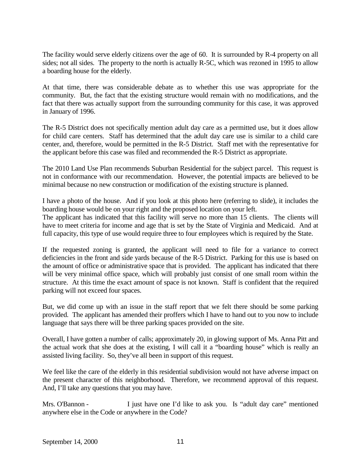The facility would serve elderly citizens over the age of 60. It is surrounded by R-4 property on all sides; not all sides. The property to the north is actually R-5C, which was rezoned in 1995 to allow a boarding house for the elderly.

At that time, there was considerable debate as to whether this use was appropriate for the community. But, the fact that the existing structure would remain with no modifications, and the fact that there was actually support from the surrounding community for this case, it was approved in January of 1996.

The R-5 District does not specifically mention adult day care as a permitted use, but it does allow for child care centers. Staff has determined that the adult day care use is similar to a child care center, and, therefore, would be permitted in the R-5 District. Staff met with the representative for the applicant before this case was filed and recommended the R-5 District as appropriate.

The 2010 Land Use Plan recommends Suburban Residential for the subject parcel. This request is not in conformance with our recommendation. However, the potential impacts are believed to be minimal because no new construction or modification of the existing structure is planned.

I have a photo of the house. And if you look at this photo here (referring to slide), it includes the boarding house would be on your right and the proposed location on your left.

The applicant has indicated that this facility will serve no more than 15 clients. The clients will have to meet criteria for income and age that is set by the State of Virginia and Medicaid. And at full capacity, this type of use would require three to four employees which is required by the State.

If the requested zoning is granted, the applicant will need to file for a variance to correct deficiencies in the front and side yards because of the R-5 District. Parking for this use is based on the amount of office or administrative space that is provided. The applicant has indicated that there will be very minimal office space, which will probably just consist of one small room within the structure. At this time the exact amount of space is not known. Staff is confident that the required parking will not exceed four spaces.

But, we did come up with an issue in the staff report that we felt there should be some parking provided. The applicant has amended their proffers which I have to hand out to you now to include language that says there will be three parking spaces provided on the site.

Overall, I have gotten a number of calls; approximately 20, in glowing support of Ms. Anna Pitt and the actual work that she does at the existing, I will call it a "boarding house" which is really an assisted living facility. So, they've all been in support of this request.

We feel like the care of the elderly in this residential subdivision would not have adverse impact on the present character of this neighborhood. Therefore, we recommend approval of this request. And, I'll take any questions that you may have.

Mrs. O'Bannon - I just have one I'd like to ask you. Is "adult day care" mentioned anywhere else in the Code or anywhere in the Code?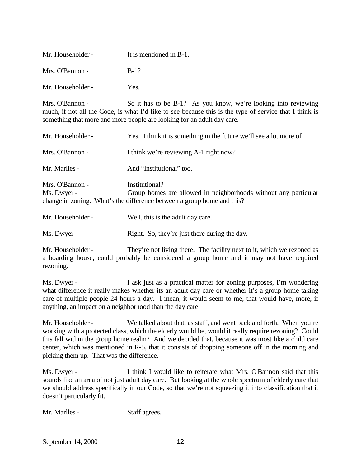| Mr. Householder - | It is mentioned in B-1. |
|-------------------|-------------------------|
| Mrs. O'Bannon -   | $B-1?$                  |
| Mr. Householder - | Yes.                    |

Mrs. O'Bannon - So it has to be B-1? As you know, we're looking into reviewing much, if not all the Code, is what I'd like to see because this is the type of service that I think is something that more and more people are looking for an adult day care.

| Mr. Householder -              | Yes. I think it is something in the future we'll see a lot more of.                                                                                         |
|--------------------------------|-------------------------------------------------------------------------------------------------------------------------------------------------------------|
| Mrs. O'Bannon -                | I think we're reviewing A-1 right now?                                                                                                                      |
| Mr. Marlles -                  | And "Institutional" too.                                                                                                                                    |
| Mrs. O'Bannon -<br>Ms. Dwyer - | Institutional?<br>Group homes are allowed in neighborhoods without any particular<br>change in zoning. What's the difference between a group home and this? |

Mr. Householder - Well, this is the adult day care.

Ms. Dwyer - Right. So, they're just there during the day.

Mr. Householder - They're not living there. The facility next to it, which we rezoned as a boarding house, could probably be considered a group home and it may not have required rezoning.

Ms. Dwyer - I ask just as a practical matter for zoning purposes, I'm wondering what difference it really makes whether its an adult day care or whether it's a group home taking care of multiple people 24 hours a day. I mean, it would seem to me, that would have, more, if anything, an impact on a neighborhood than the day care.

Mr. Householder - We talked about that, as staff, and went back and forth. When you're working with a protected class, which the elderly would be, would it really require rezoning? Could this fall within the group home realm? And we decided that, because it was most like a child care center, which was mentioned in R-5, that it consists of dropping someone off in the morning and picking them up. That was the difference.

Ms. Dwyer - I think I would like to reiterate what Mrs. O'Bannon said that this sounds like an area of not just adult day care. But looking at the whole spectrum of elderly care that we should address specifically in our Code, so that we're not squeezing it into classification that it doesn't particularly fit.

Mr. Marlles - Staff agrees.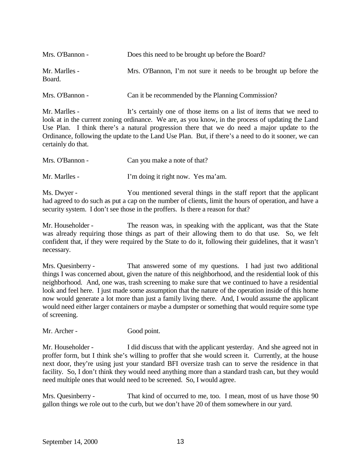| Mrs. O'Bannon -         | Does this need to be brought up before the Board?                |
|-------------------------|------------------------------------------------------------------|
| Mr. Marlles -<br>Board. | Mrs. O'Bannon, I'm not sure it needs to be brought up before the |
| Mrs. O'Bannon -         | Can it be recommended by the Planning Commission?                |

Mr. Marlles - It's certainly one of those items on a list of items that we need to look at in the current zoning ordinance. We are, as you know, in the process of updating the Land Use Plan. I think there's a natural progression there that we do need a major update to the Ordinance, following the update to the Land Use Plan. But, if there's a need to do it sooner, we can certainly do that.

| Mrs. O'Bannon - | Can you make a note of that?       |
|-----------------|------------------------------------|
| Mr. Marlles -   | I'm doing it right now. Yes ma'am. |

Ms. Dwyer - You mentioned several things in the staff report that the applicant had agreed to do such as put a cap on the number of clients, limit the hours of operation, and have a security system. I don't see those in the proffers. Is there a reason for that?

Mr. Householder - The reason was, in speaking with the applicant, was that the State was already requiring those things as part of their allowing them to do that use. So, we felt confident that, if they were required by the State to do it, following their guidelines, that it wasn't necessary.

Mrs. Quesinberry - That answered some of my questions. I had just two additional things I was concerned about, given the nature of this neighborhood, and the residential look of this neighborhood. And, one was, trash screening to make sure that we continued to have a residential look and feel here. I just made some assumption that the nature of the operation inside of this home now would generate a lot more than just a family living there. And, I would assume the applicant would need either larger containers or maybe a dumpster or something that would require some type of screening.

Mr. Archer - Good point.

Mr. Householder - I did discuss that with the applicant yesterday. And she agreed not in proffer form, but I think she's willing to proffer that she would screen it. Currently, at the house next door, they're using just your standard BFI oversize trash can to serve the residence in that facility. So, I don't think they would need anything more than a standard trash can, but they would need multiple ones that would need to be screened. So, I would agree.

Mrs. Quesinberry - That kind of occurred to me, too. I mean, most of us have those 90 gallon things we role out to the curb, but we don't have 20 of them somewhere in our yard.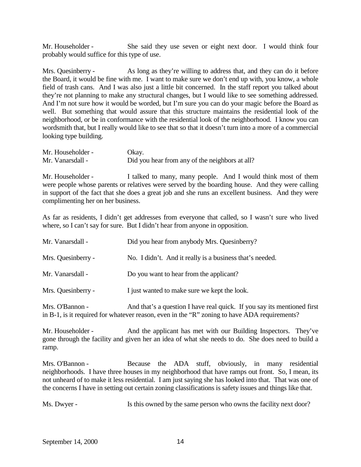Mr. Householder - She said they use seven or eight next door. I would think four probably would suffice for this type of use.

Mrs. Quesinberry - As long as they're willing to address that, and they can do it before the Board, it would be fine with me. I want to make sure we don't end up with, you know, a whole field of trash cans. And I was also just a little bit concerned. In the staff report you talked about they're not planning to make any structural changes, but I would like to see something addressed. And I'm not sure how it would be worded, but I'm sure you can do your magic before the Board as well. But something that would assure that this structure maintains the residential look of the neighborhood, or be in conformance with the residential look of the neighborhood. I know you can wordsmith that, but I really would like to see that so that it doesn't turn into a more of a commercial looking type building.

| Mr. Householder - | Okay.                                          |
|-------------------|------------------------------------------------|
| Mr. Vanarsdall -  | Did you hear from any of the neighbors at all? |

Mr. Householder - I talked to many, many people. And I would think most of them were people whose parents or relatives were served by the boarding house. And they were calling in support of the fact that she does a great job and she runs an excellent business. And they were complimenting her on her business.

As far as residents, I didn't get addresses from everyone that called, so I wasn't sure who lived where, so I can't say for sure. But I didn't hear from anyone in opposition.

| Mr. Vanarsdall -   | Did you hear from anybody Mrs. Quesinberry?              |
|--------------------|----------------------------------------------------------|
| Mrs. Quesinberry - | No. I didn't. And it really is a business that's needed. |
| Mr. Vanarsdall -   | Do you want to hear from the applicant?                  |
| Mrs. Quesinberry - | I just wanted to make sure we kept the look.             |

Mrs. O'Bannon - And that's a question I have real quick. If you say its mentioned first in B-1, is it required for whatever reason, even in the "R" zoning to have ADA requirements?

Mr. Householder - And the applicant has met with our Building Inspectors. They've gone through the facility and given her an idea of what she needs to do. She does need to build a ramp.

Mrs. O'Bannon - Because the ADA stuff, obviously, in many residential neighborhoods. I have three houses in my neighborhood that have ramps out front. So, I mean, its not unheard of to make it less residential. I am just saying she has looked into that. That was one of the concerns I have in setting out certain zoning classifications is safety issues and things like that.

Ms. Dwyer - Is this owned by the same person who owns the facility next door?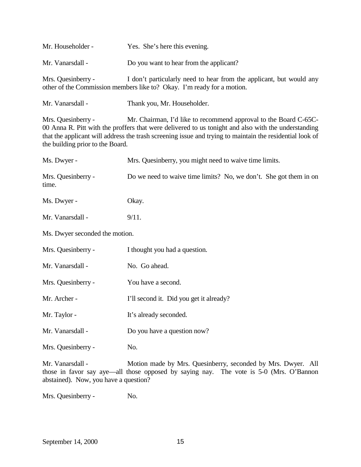| Mr. Householder -                                                                                                                                                                                                                                                                                                                             | Yes. She's here this evening.                                                                                                                 |  |
|-----------------------------------------------------------------------------------------------------------------------------------------------------------------------------------------------------------------------------------------------------------------------------------------------------------------------------------------------|-----------------------------------------------------------------------------------------------------------------------------------------------|--|
| Mr. Vanarsdall -                                                                                                                                                                                                                                                                                                                              | Do you want to hear from the applicant?                                                                                                       |  |
| Mrs. Quesinberry -                                                                                                                                                                                                                                                                                                                            | I don't particularly need to hear from the applicant, but would any<br>other of the Commission members like to? Okay. I'm ready for a motion. |  |
| Mr. Vanarsdall -                                                                                                                                                                                                                                                                                                                              | Thank you, Mr. Householder.                                                                                                                   |  |
| Mr. Chairman, I'd like to recommend approval to the Board C-65C-<br>Mrs. Quesinberry -<br>00 Anna R. Pitt with the proffers that were delivered to us tonight and also with the understanding<br>that the applicant will address the trash screening issue and trying to maintain the residential look of<br>the building prior to the Board. |                                                                                                                                               |  |
| Ms. Dwyer -                                                                                                                                                                                                                                                                                                                                   | Mrs. Quesinberry, you might need to waive time limits.                                                                                        |  |
| Mrs. Quesinberry -<br>time.                                                                                                                                                                                                                                                                                                                   | Do we need to waive time limits? No, we don't. She got them in on                                                                             |  |
| Ms. Dwyer -                                                                                                                                                                                                                                                                                                                                   | Okay.                                                                                                                                         |  |
| Mr. Vanarsdall -                                                                                                                                                                                                                                                                                                                              | 9/11.                                                                                                                                         |  |
| Ms. Dwyer seconded the motion.                                                                                                                                                                                                                                                                                                                |                                                                                                                                               |  |
| Mrs. Quesinberry -                                                                                                                                                                                                                                                                                                                            | I thought you had a question.                                                                                                                 |  |
| Mr. Vanarsdall -                                                                                                                                                                                                                                                                                                                              | No. Go ahead.                                                                                                                                 |  |
| Mrs. Quesinberry -                                                                                                                                                                                                                                                                                                                            | You have a second.                                                                                                                            |  |
| Mr. Archer -                                                                                                                                                                                                                                                                                                                                  | I'll second it. Did you get it already?                                                                                                       |  |
| Mr. Taylor -                                                                                                                                                                                                                                                                                                                                  | It's already seconded.                                                                                                                        |  |
| Mr. Vanarsdall -                                                                                                                                                                                                                                                                                                                              | Do you have a question now?                                                                                                                   |  |
| Mrs. Quesinberry -                                                                                                                                                                                                                                                                                                                            | No.                                                                                                                                           |  |
| Mr. Vanarsdall -<br>Motion made by Mrs. Quesinberry, seconded by Mrs. Dwyer. All<br>those in favor say aye—all those opposed by saying nay. The vote is 5-0 (Mrs. O'Bannon<br>abstained). Now, you have a question?                                                                                                                           |                                                                                                                                               |  |

Mrs. Quesinberry - No.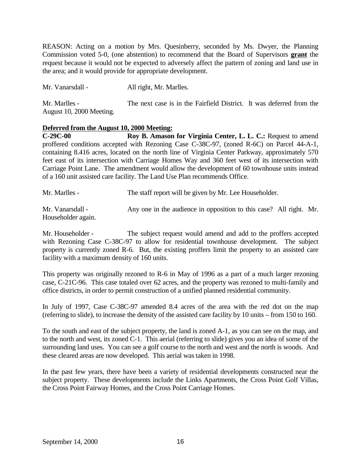REASON: Acting on a motion by Mrs. Quesinberry, seconded by Ms. Dwyer, the Planning Commission voted 5-0, (one abstention) to recommend that the Board of Supervisors **grant** the request because it would not be expected to adversely affect the pattern of zoning and land use in the area; and it would provide for appropriate development.

Mr. Vanarsdall - All right, Mr. Marlles.

Mr. Marlles - The next case is in the Fairfield District. It was deferred from the August 10, 2000 Meeting.

### **Deferred from the August 10, 2000 Meeting:**

**C-29C-00 Roy B. Amason for Virginia Center, L. L. C.:** Request to amend proffered conditions accepted with Rezoning Case C-38C-97, (zoned R-6C) on Parcel 44-A-1, containing 8.416 acres, located on the north line of Virginia Center Parkway, approximately 570 feet east of its intersection with Carriage Homes Way and 360 feet west of its intersection with Carriage Point Lane. The amendment would allow the development of 60 townhouse units instead of a 160 unit assisted care facility. The Land Use Plan recommends Office.

Mr. Marlles - The staff report will be given by Mr. Lee Householder.

Mr. Vanarsdall - Any one in the audience in opposition to this case? All right. Mr. Householder again.

Mr. Householder - The subject request would amend and add to the proffers accepted with Rezoning Case C-38C-97 to allow for residential townhouse development. The subject property is currently zoned R-6. But, the existing proffers limit the property to an assisted care facility with a maximum density of 160 units.

This property was originally rezoned to R-6 in May of 1996 as a part of a much larger rezoning case, C-21C-96. This case totaled over 62 acres, and the property was rezoned to multi-family and office districts, in order to permit construction of a unified planned residential community.

In July of 1997, Case C-38C-97 amended 8.4 acres of the area with the red dot on the map (referring to slide), to increase the density of the assisted care facility by 10 units – from 150 to 160.

To the south and east of the subject property, the land is zoned A-1, as you can see on the map, and to the north and west, its zoned C-1. This aerial (referring to slide) gives you an idea of some of the surrounding land uses. You can see a golf course to the north and west and the north is woods. And these cleared areas are now developed. This aerial was taken in 1998.

In the past few years, there have been a variety of residential developments constructed near the subject property. These developments include the Links Apartments, the Cross Point Golf Villas, the Cross Point Fairway Homes, and the Cross Point Carriage Homes.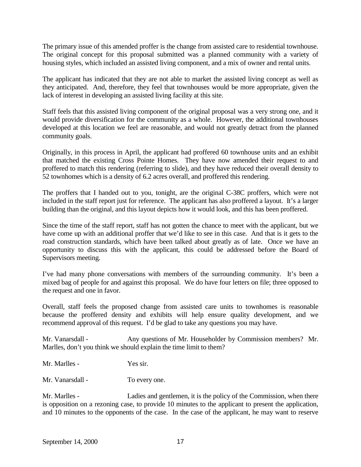The primary issue of this amended proffer is the change from assisted care to residential townhouse. The original concept for this proposal submitted was a planned community with a variety of housing styles, which included an assisted living component, and a mix of owner and rental units.

The applicant has indicated that they are not able to market the assisted living concept as well as they anticipated. And, therefore, they feel that townhouses would be more appropriate, given the lack of interest in developing an assisted living facility at this site.

Staff feels that this assisted living component of the original proposal was a very strong one, and it would provide diversification for the community as a whole. However, the additional townhouses developed at this location we feel are reasonable, and would not greatly detract from the planned community goals.

Originally, in this process in April, the applicant had proffered 60 townhouse units and an exhibit that matched the existing Cross Pointe Homes. They have now amended their request to and proffered to match this rendering (referring to slide), and they have reduced their overall density to 52 townhomes which is a density of 6.2 acres overall, and proffered this rendering.

The proffers that I handed out to you, tonight, are the original C-38C proffers, which were not included in the staff report just for reference. The applicant has also proffered a layout. It's a larger building than the original, and this layout depicts how it would look, and this has been proffered.

Since the time of the staff report, staff has not gotten the chance to meet with the applicant, but we have come up with an additional proffer that we'd like to see in this case. And that is it gets to the road construction standards, which have been talked about greatly as of late. Once we have an opportunity to discuss this with the applicant, this could be addressed before the Board of Supervisors meeting.

I've had many phone conversations with members of the surrounding community. It's been a mixed bag of people for and against this proposal. We do have four letters on file; three opposed to the request and one in favor.

Overall, staff feels the proposed change from assisted care units to townhomes is reasonable because the proffered density and exhibits will help ensure quality development, and we recommend approval of this request. I'd be glad to take any questions you may have.

Mr. Vanarsdall - Any questions of Mr. Householder by Commission members? Mr. Marlles, don't you think we should explain the time limit to them?

| Mr. Marlles - | Yes sir. |
|---------------|----------|
|---------------|----------|

Mr. Vanarsdall - To every one.

Mr. Marlles - Ladies and gentlemen, it is the policy of the Commission, when there is opposition on a rezoning case, to provide 10 minutes to the applicant to present the application, and 10 minutes to the opponents of the case. In the case of the applicant, he may want to reserve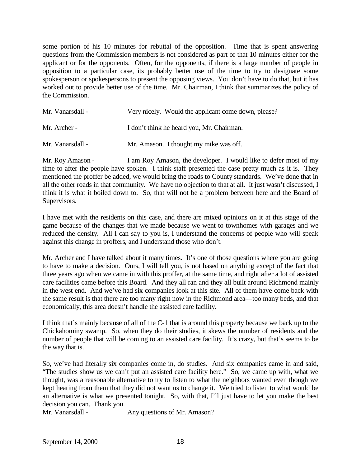some portion of his 10 minutes for rebuttal of the opposition. Time that is spent answering questions from the Commission members is not considered as part of that 10 minutes either for the applicant or for the opponents. Often, for the opponents, if there is a large number of people in opposition to a particular case, its probably better use of the time to try to designate some spokesperson or spokespersons to present the opposing views. You don't have to do that, but it has worked out to provide better use of the time. Mr. Chairman, I think that summarizes the policy of the Commission.

| Mr. Vanarsdall - | Very nicely. Would the applicant come down, please? |
|------------------|-----------------------------------------------------|
| Mr. Archer -     | I don't think he heard you, Mr. Chairman.           |
| Mr. Vanarsdall - | Mr. Amason. I thought my mike was off.              |

Mr. Roy Amason - I am Roy Amason, the developer. I would like to defer most of my time to after the people have spoken. I think staff presented the case pretty much as it is. They mentioned the proffer be added, we would bring the roads to County standards. We've done that in all the other roads in that community. We have no objection to that at all. It just wasn't discussed, I think it is what it boiled down to. So, that will not be a problem between here and the Board of Supervisors.

I have met with the residents on this case, and there are mixed opinions on it at this stage of the game because of the changes that we made because we went to townhomes with garages and we reduced the density. All I can say to you is, I understand the concerns of people who will speak against this change in proffers, and I understand those who don't.

Mr. Archer and I have talked about it many times. It's one of those questions where you are going to have to make a decision. Ours, I will tell you, is not based on anything except of the fact that three years ago when we came in with this proffer, at the same time, and right after a lot of assisted care facilities came before this Board. And they all ran and they all built around Richmond mainly in the west end. And we've had six companies look at this site. All of them have come back with the same result is that there are too many right now in the Richmond area—too many beds, and that economically, this area doesn't handle the assisted care facility.

I think that's mainly because of all of the C-1 that is around this property because we back up to the Chickahominy swamp. So, when they do their studies, it skews the number of residents and the number of people that will be coming to an assisted care facility. It's crazy, but that's seems to be the way that is.

So, we've had literally six companies come in, do studies. And six companies came in and said, "The studies show us we can't put an assisted care facility here." So, we came up with, what we thought, was a reasonable alternative to try to listen to what the neighbors wanted even though we kept hearing from them that they did not want us to change it. We tried to listen to what would be an alternative is what we presented tonight. So, with that, I'll just have to let you make the best decision you can. Thank you.

Mr. Vanarsdall - Any questions of Mr. Amason?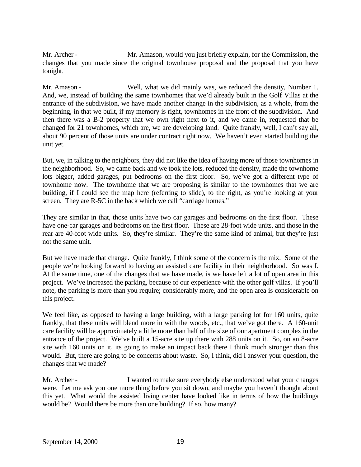Mr. Archer - Mr. Amason, would you just briefly explain, for the Commission, the changes that you made since the original townhouse proposal and the proposal that you have tonight.

Mr. Amason - Well, what we did mainly was, we reduced the density, Number 1. And, we, instead of building the same townhomes that we'd already built in the Golf Villas at the entrance of the subdivision, we have made another change in the subdivision, as a whole, from the beginning, in that we built, if my memory is right, townhomes in the front of the subdivision. And then there was a B-2 property that we own right next to it, and we came in, requested that be changed for 21 townhomes, which are, we are developing land. Quite frankly, well, I can't say all, about 90 percent of those units are under contract right now. We haven't even started building the unit yet.

But, we, in talking to the neighbors, they did not like the idea of having more of those townhomes in the neighborhood. So, we came back and we took the lots, reduced the density, made the townhome lots bigger, added garages, put bedrooms on the first floor. So, we've got a different type of townhome now. The townhome that we are proposing is similar to the townhomes that we are building, if I could see the map here (referring to slide), to the right, as you're looking at your screen. They are R-5C in the back which we call "carriage homes."

They are similar in that, those units have two car garages and bedrooms on the first floor. These have one-car garages and bedrooms on the first floor. These are 28-foot wide units, and those in the rear are 40-foot wide units. So, they're similar. They're the same kind of animal, but they're just not the same unit.

But we have made that change. Quite frankly, I think some of the concern is the mix. Some of the people we're looking forward to having an assisted care facility in their neighborhood. So was I. At the same time, one of the changes that we have made, is we have left a lot of open area in this project. We've increased the parking, because of our experience with the other golf villas. If you'll note, the parking is more than you require; considerably more, and the open area is considerable on this project.

We feel like, as opposed to having a large building, with a large parking lot for 160 units, quite frankly, that these units will blend more in with the woods, etc., that we've got there. A 160-unit care facility will be approximately a little more than half of the size of our apartment complex in the entrance of the project. We've built a 15-acre site up there with 288 units on it. So, on an 8-acre site with 160 units on it, its going to make an impact back there I think much stronger than this would. But, there are going to be concerns about waste. So, I think, did I answer your question, the changes that we made?

Mr. Archer - I wanted to make sure everybody else understood what your changes were. Let me ask you one more thing before you sit down, and maybe you haven't thought about this yet. What would the assisted living center have looked like in terms of how the buildings would be? Would there be more than one building? If so, how many?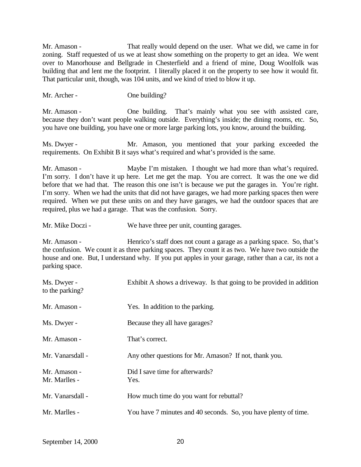Mr. Amason - That really would depend on the user. What we did, we came in for zoning. Staff requested of us we at least show something on the property to get an idea. We went over to Manorhouse and Bellgrade in Chesterfield and a friend of mine, Doug Woolfolk was building that and lent me the footprint. I literally placed it on the property to see how it would fit. That particular unit, though, was 104 units, and we kind of tried to blow it up.

Mr. Archer - One building?

Mr. Amason - One building. That's mainly what you see with assisted care, because they don't want people walking outside. Everything's inside; the dining rooms, etc. So, you have one building, you have one or more large parking lots, you know, around the building.

Ms. Dwyer - Mr. Amason, you mentioned that your parking exceeded the requirements. On Exhibit B it says what's required and what's provided is the same.

Mr. Amason - Maybe I'm mistaken. I thought we had more than what's required. I'm sorry. I don't have it up here. Let me get the map. You are correct. It was the one we did before that we had that. The reason this one isn't is because we put the garages in. You're right. I'm sorry. When we had the units that did not have garages, we had more parking spaces then were required. When we put these units on and they have garages, we had the outdoor spaces that are required, plus we had a garage. That was the confusion. Sorry.

Mr. Mike Doczi - We have three per unit, counting garages.

Mr. Amason - Henrico's staff does not count a garage as a parking space. So, that's the confusion. We count it as three parking spaces. They count it as two. We have two outside the house and one. But, I understand why. If you put apples in your garage, rather than a car, its not a parking space.

| Ms. Dwyer -<br>to the parking? | Exhibit A shows a driveway. Is that going to be provided in addition |
|--------------------------------|----------------------------------------------------------------------|
| Mr. Amason -                   | Yes. In addition to the parking.                                     |
| Ms. Dwyer -                    | Because they all have garages?                                       |
| Mr. Amason -                   | That's correct.                                                      |
| Mr. Vanarsdall -               | Any other questions for Mr. Amason? If not, thank you.               |
| Mr. Amason -<br>Mr. Marlles -  | Did I save time for afterwards?<br>Yes.                              |
| Mr. Vanarsdall -               | How much time do you want for rebuttal?                              |
| Mr. Marlles -                  | You have 7 minutes and 40 seconds. So, you have plenty of time.      |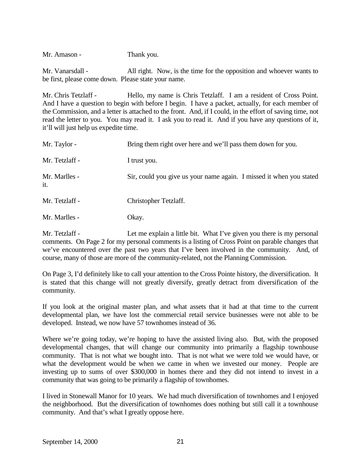Mr. Amason - Thank you.

Mr. Vanarsdall - All right. Now, is the time for the opposition and whoever wants to be first, please come down. Please state your name.

Mr. Chris Tetzlaff - Hello, my name is Chris Tetzlaff. I am a resident of Cross Point. And I have a question to begin with before I begin. I have a packet, actually, for each member of the Commission, and a letter is attached to the front. And, if I could, in the effort of saving time, not read the letter to you. You may read it. I ask you to read it. And if you have any questions of it, it'll will just help us expedite time.

| Mr. Taylor -         | Bring them right over here and we'll pass them down for you.        |
|----------------------|---------------------------------------------------------------------|
| Mr. Tetzlaff -       | I trust you.                                                        |
| Mr. Marlles -<br>it. | Sir, could you give us your name again. I missed it when you stated |
| Mr. Tetzlaff -       | Christopher Tetzlaff.                                               |
| Mr. Marlles -        | Okay.                                                               |

Mr. Tetzlaff - Let me explain a little bit. What I've given you there is my personal comments. On Page 2 for my personal comments is a listing of Cross Point on parable changes that we've encountered over the past two years that I've been involved in the community. And, of course, many of those are more of the community-related, not the Planning Commission.

On Page 3, I'd definitely like to call your attention to the Cross Pointe history, the diversification. It is stated that this change will not greatly diversify, greatly detract from diversification of the community.

If you look at the original master plan, and what assets that it had at that time to the current developmental plan, we have lost the commercial retail service businesses were not able to be developed. Instead, we now have 57 townhomes instead of 36.

Where we're going today, we're hoping to have the assisted living also. But, with the proposed developmental changes, that will change our community into primarily a flagship townhouse community. That is not what we bought into. That is not what we were told we would have, or what the development would be when we came in when we invested our money. People are investing up to sums of over \$300,000 in homes there and they did not intend to invest in a community that was going to be primarily a flagship of townhomes.

I lived in Stonewall Manor for 10 years. We had much diversification of townhomes and I enjoyed the neighborhood. But the diversification of townhomes does nothing but still call it a townhouse community. And that's what I greatly oppose here.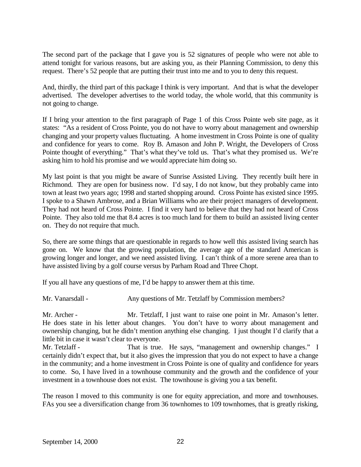The second part of the package that I gave you is 52 signatures of people who were not able to attend tonight for various reasons, but are asking you, as their Planning Commission, to deny this request. There's 52 people that are putting their trust into me and to you to deny this request.

And, thirdly, the third part of this package I think is very important. And that is what the developer advertised. The developer advertises to the world today, the whole world, that this community is not going to change.

If I bring your attention to the first paragraph of Page 1 of this Cross Pointe web site page, as it states: "As a resident of Cross Pointe, you do not have to worry about management and ownership changing and your property values fluctuating. A home investment in Cross Pointe is one of quality and confidence for years to come. Roy B. Amason and John P. Wright, the Developers of Cross Pointe thought of everything." That's what they've told us. That's what they promised us. We're asking him to hold his promise and we would appreciate him doing so.

My last point is that you might be aware of Sunrise Assisted Living. They recently built here in Richmond. They are open for business now. I'd say, I do not know, but they probably came into town at least two years ago; 1998 and started shopping around. Cross Pointe has existed since 1995. I spoke to a Shawn Ambrose, and a Brian Williams who are their project managers of development. They had not heard of Cross Pointe. I find it very hard to believe that they had not heard of Cross Pointe. They also told me that 8.4 acres is too much land for them to build an assisted living center on. They do not require that much.

So, there are some things that are questionable in regards to how well this assisted living search has gone on. We know that the growing population, the average age of the standard American is growing longer and longer, and we need assisted living. I can't think of a more serene area than to have assisted living by a golf course versus by Parham Road and Three Chopt.

If you all have any questions of me, I'd be happy to answer them at this time.

Mr. Vanarsdall - Any questions of Mr. Tetzlaff by Commission members?

Mr. Archer - Mr. Tetzlaff, I just want to raise one point in Mr. Amason's letter. He does state in his letter about changes. You don't have to worry about management and ownership changing, but he didn't mention anything else changing. I just thought I'd clarify that a little bit in case it wasn't clear to everyone.

Mr. Tetzlaff - That is true. He says, "management and ownership changes." I certainly didn't expect that, but it also gives the impression that you do not expect to have a change in the community; and a home investment in Cross Pointe is one of quality and confidence for years to come. So, I have lived in a townhouse community and the growth and the confidence of your investment in a townhouse does not exist. The townhouse is giving you a tax benefit.

The reason I moved to this community is one for equity appreciation, and more and townhouses. FAs you see a diversification change from 36 townhomes to 109 townhomes, that is greatly risking,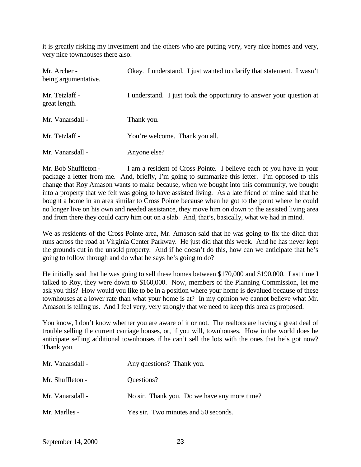it is greatly risking my investment and the others who are putting very, very nice homes and very, very nice townhouses there also.

| Mr. Archer -<br>being argumentative. | Okay. I understand. I just wanted to clarify that statement. I wasn't |
|--------------------------------------|-----------------------------------------------------------------------|
| Mr. Tetzlaff -<br>great length.      | I understand. I just took the opportunity to answer your question at  |
| Mr. Vanarsdall -                     | Thank you.                                                            |
| Mr. Tetzlaff -                       | You're welcome. Thank you all.                                        |
| Mr. Vanarsdall -                     | Anyone else?                                                          |

Mr. Bob Shuffleton - I am a resident of Cross Pointe. I believe each of you have in your package a letter from me. And, briefly, I'm going to summarize this letter. I'm opposed to this change that Roy Amason wants to make because, when we bought into this community, we bought into a property that we felt was going to have assisted living. As a late friend of mine said that he bought a home in an area similar to Cross Pointe because when he got to the point where he could no longer live on his own and needed assistance, they move him on down to the assisted living area and from there they could carry him out on a slab. And, that's, basically, what we had in mind.

We as residents of the Cross Pointe area, Mr. Amason said that he was going to fix the ditch that runs across the road at Virginia Center Parkway. He just did that this week. And he has never kept the grounds cut in the unsold property. And if he doesn't do this, how can we anticipate that he's going to follow through and do what he says he's going to do?

He initially said that he was going to sell these homes between \$170,000 and \$190,000. Last time I talked to Roy, they were down to \$160,000. Now, members of the Planning Commission, let me ask you this? How would you like to be in a position where your home is devalued because of these townhouses at a lower rate than what your home is at? In my opinion we cannot believe what Mr. Amason is telling us. And I feel very, very strongly that we need to keep this area as proposed.

You know, I don't know whether you are aware of it or not. The realtors are having a great deal of trouble selling the current carriage houses, or, if you will, townhouses. How in the world does he anticipate selling additional townhouses if he can't sell the lots with the ones that he's got now? Thank you.

| Mr. Vanarsdall - | Any questions? Thank you.                    |
|------------------|----------------------------------------------|
| Mr. Shuffleton - | Questions?                                   |
| Mr. Vanarsdall - | No sir. Thank you. Do we have any more time? |
| Mr. Marlles -    | Yes sir. Two minutes and 50 seconds.         |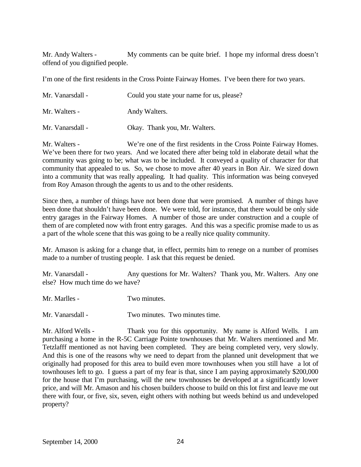Mr. Andy Walters - My comments can be quite brief. I hope my informal dress doesn't offend of you dignified people.

I'm one of the first residents in the Cross Pointe Fairway Homes. I've been there for two years.

| Mr. Vanarsdall - | Could you state your name for us, please? |
|------------------|-------------------------------------------|
| Mr. Walters -    | Andy Walters.                             |
| Mr. Vanarsdall - | Okay. Thank you, Mr. Walters.             |

Mr. Walters - We're one of the first residents in the Cross Pointe Fairway Homes. We've been there for two years. And we located there after being told in elaborate detail what the community was going to be; what was to be included. It conveyed a quality of character for that community that appealed to us. So, we chose to move after 40 years in Bon Air. We sized down into a community that was really appealing. It had quality. This information was being conveyed from Roy Amason through the agents to us and to the other residents.

Since then, a number of things have not been done that were promised. A number of things have been done that shouldn't have been done. We were told, for instance, that there would be only side entry garages in the Fairway Homes. A number of those are under construction and a couple of them of are completed now with front entry garages. And this was a specific promise made to us as a part of the whole scene that this was going to be a really nice quality community.

Mr. Amason is asking for a change that, in effect, permits him to renege on a number of promises made to a number of trusting people. I ask that this request be denied.

Mr. Vanarsdall - Any questions for Mr. Walters? Thank you, Mr. Walters. Any one else? How much time do we have?

Mr. Marlles - Two minutes.

Mr. Vanarsdall - Two minutes. Two minutes time.

Mr. Alford Wells - Thank you for this opportunity. My name is Alford Wells. I am purchasing a home in the R-5C Carriage Pointe townhouses that Mr. Walters mentioned and Mr. Tetzlafff mentioned as not having been completed. They are being completed very, very slowly. And this is one of the reasons why we need to depart from the planned unit development that we originally had proposed for this area to build even more townhouses when you still have a lot of townhouses left to go. I guess a part of my fear is that, since I am paying approximately \$200,000 for the house that I'm purchasing, will the new townhouses be developed at a significantly lower price, and will Mr. Amason and his chosen builders choose to build on this lot first and leave me out there with four, or five, six, seven, eight others with nothing but weeds behind us and undeveloped property?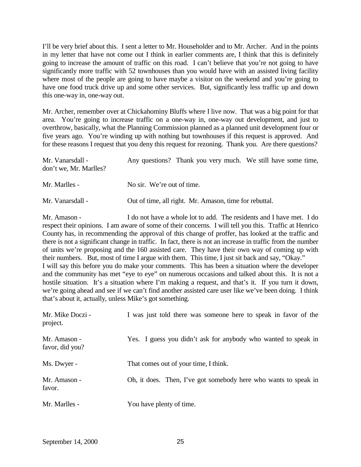I'll be very brief about this. I sent a letter to Mr. Householder and to Mr. Archer. And in the points in my letter that have not come out I think in earlier comments are, I think that this is definitely going to increase the amount of traffic on this road. I can't believe that you're not going to have significantly more traffic with 52 townhouses than you would have with an assisted living facility where most of the people are going to have maybe a visitor on the weekend and you're going to have one food truck drive up and some other services. But, significantly less traffic up and down this one-way in, one-way out.

Mr. Archer, remember over at Chickahominy Bluffs where I live now. That was a big point for that area. You're going to increase traffic on a one-way in, one-way out development, and just to overthrow, basically, what the Planning Commission planned as a planned unit development four or five years ago. You're winding up with nothing but townhouses if this request is approved. And for these reasons I request that you deny this request for rezoning. Thank you. Are there questions?

| Mr. Vanarsdall -<br>don't we, Mr. Marlles? | Any questions? Thank you very much. We still have some time, |
|--------------------------------------------|--------------------------------------------------------------|
| Mr. Marlles -                              | No sir. We're out of time.                                   |
| Mr. Vanarsdall -                           | Out of time, all right. Mr. Amason, time for rebuttal.       |

Mr. Amason - I do not have a whole lot to add. The residents and I have met. I do respect their opinions. I am aware of some of their concerns. I will tell you this. Traffic at Henrico County has, in recommending the approval of this change of proffer, has looked at the traffic and there is not a significant change in traffic. In fact, there is not an increase in traffic from the number of units we're proposing and the 160 assisted care. They have their own way of coming up with their numbers. But, most of time I argue with them. This time, I just sit back and say, "Okay." I will say this before you do make your comments. This has been a situation where the developer and the community has met "eye to eye" on numerous occasions and talked about this. It is not a hostile situation. It's a situation where I'm making a request, and that's it. If you turn it down, we're going ahead and see if we can't find another assisted care user like we've been doing. I think that's about it, actually, unless Mike's got something.

| Mr. Mike Doczi -<br>project.    | I was just told there was someone here to speak in favor of the |
|---------------------------------|-----------------------------------------------------------------|
| Mr. Amason -<br>favor, did you? | Yes. I guess you didn't ask for anybody who wanted to speak in  |
| Ms. Dwyer -                     | That comes out of your time, I think.                           |
| Mr. Amason -<br>favor.          | Oh, it does. Then, I've got somebody here who wants to speak in |
| Mr. Marlles -                   | You have plenty of time.                                        |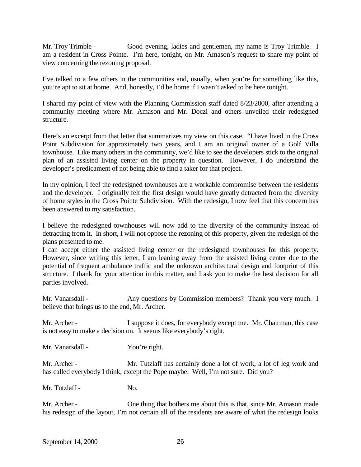Mr. Troy Trimble - Good evening, ladies and gentlemen, my name is Troy Trimble. I am a resident in Cross Pointe. I'm here, tonight, on Mr. Amason's request to share my point of view concerning the rezoning proposal.

I've talked to a few others in the communities and, usually, when you're for something like this, you're apt to sit at home. And, honestly, I'd be home if I wasn't asked to be here tonight.

I shared my point of view with the Planning Commission staff dated 8/23/2000, after attending a community meeting where Mr. Amason and Mr. Doczi and others unveiled their redesigned structure.

Here's an excerpt from that letter that summarizes my view on this case. "I have lived in the Cross Point Subdivision for approximately two years, and I am an original owner of a Golf Villa townhouse. Like many others in the community, we'd like to see the developers stick to the original plan of an assisted living center on the property in question. However, I do understand the developer's predicament of not being able to find a taker for that project.

In my opinion, I feel the redesigned townhouses are a workable compromise between the residents and the developer. I originally felt the first design would have greatly detracted from the diversity of home styles in the Cross Pointe Subdivision. With the redesign, I now feel that this concern has been answered to my satisfaction.

I believe the redesigned townhouses will now add to the diversity of the community instead of detracting from it. In short, I will not oppose the rezoning of this property, given the redesign of the plans presented to me.

I can accept either the assisted living center or the redesigned townhouses for this property. However, since writing this letter, I am leaning away from the assisted living center due to the potential of frequent ambulance traffic and the unknown architectural design and footprint of this structure. I thank for your attention in this matter, and I ask you to make the best decision for all parties involved.

Mr. Vanarsdall - Any questions by Commission members? Thank you very much. I believe that brings us to the end, Mr. Archer.

Mr. Archer - I suppose it does, for everybody except me. Mr. Chairman, this case is not easy to make a decision on. It seems like everybody's right.

Mr. Vanarsdall - You're right.

Mr. Archer - Mr. Tutzlaff has certainly done a lot of work, a lot of leg work and has called everybody I think, except the Pope maybe. Well, I'm not sure. Did you?

Mr. Tutzlaff - No.

Mr. Archer - One thing that bothers me about this is that, since Mr. Amason made his redesign of the layout, I'm not certain all of the residents are aware of what the redesign looks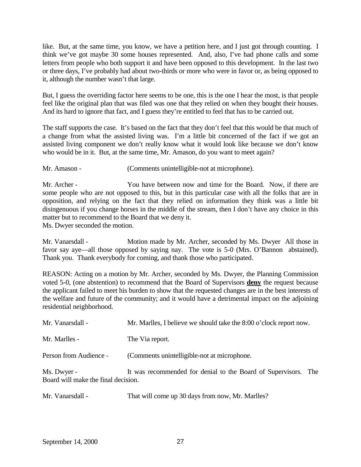like. But, at the same time, you know, we have a petition here, and I just got through counting. I think we've got maybe 30 some houses represented. And, also, I've had phone calls and some letters from people who both support it and have been opposed to this development. In the last two or three days, I've probably had about two-thirds or more who were in favor or, as being opposed to it, although the number wasn't that large.

But, I guess the overriding factor here seems to be one, this is the one I hear the most, is that people feel like the original plan that was filed was one that they relied on when they bought their houses. And its hard to ignore that fact, and I guess they're entitled to feel that has to be carried out.

The staff supports the case. It's based on the fact that they don't feel that this would be that much of a change from what the assisted living was. I'm a little bit concerned of the fact if we got an assisted living component we don't really know what it would look like because we don't know who would be in it. But, at the same time, Mr. Amason, do you want to meet again?

Mr. Amason - (Comments unintelligible-not at microphone).

Mr. Archer - You have between now and time for the Board. Now, if there are some people who are not opposed to this, but in this particular case with all the folks that are in opposition, and relying on the fact that they relied on information they think was a little bit disingenuous if you change horses in the middle of the stream, then I don't have any choice in this matter but to recommend to the Board that we deny it.

Ms. Dwyer seconded the motion.

Mr. Vanarsdall - Motion made by Mr. Archer, seconded by Ms. Dwyer All those in favor say aye—all those opposed by saying nay. The vote is 5-0 (Mrs. O'Bannon abstained). Thank you. Thank everybody for coming, and thank those who participated.

REASON: Acting on a motion by Mr. Archer, seconded by Ms. Dwyer, the Planning Commission voted 5-0, (one abstention) to recommend that the Board of Supervisors **deny** the request because the applicant failed to meet his burden to show that the requested changes are in the best interests of the welfare and future of the community; and it would have a detrimental impact on the adjoining residential neighborhood.

| Mr. Vanarsdall -                                   | Mr. Marlles, I believe we should take the 8:00 o'clock report now. |  |
|----------------------------------------------------|--------------------------------------------------------------------|--|
| Mr. Marlles -                                      | The Via report.                                                    |  |
| Person from Audience -                             | (Comments unintelligible-not at microphone.)                       |  |
| Ms. Dwyer -<br>Board will make the final decision. | It was recommended for denial to the Board of Supervisors. The     |  |

| Mr. Vanarsdall - | That will come up 30 days from now, Mr. Marlles? |
|------------------|--------------------------------------------------|
|------------------|--------------------------------------------------|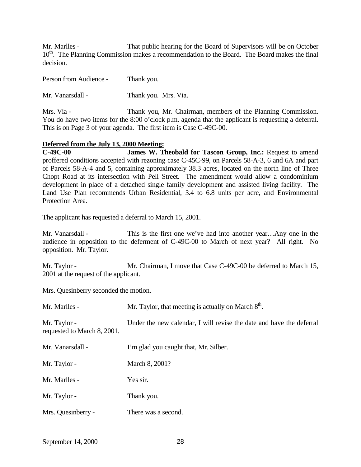Mr. Marlles - That public hearing for the Board of Supervisors will be on October 10<sup>th</sup>. The Planning Commission makes a recommendation to the Board. The Board makes the final decision.

Person from Audience - Thank you.

Mr. Vanarsdall - Thank you. Mrs. Via.

Mrs. Via - Thank you, Mr. Chairman, members of the Planning Commission. You do have two items for the 8:00 o'clock p.m. agenda that the applicant is requesting a deferral. This is on Page 3 of your agenda. The first item is Case C-49C-00.

## **Deferred from the July 13, 2000 Meeting:**

**C-49C-00 James W. Theobald for Tascon Group, Inc.:** Request to amend proffered conditions accepted with rezoning case C-45C-99, on Parcels 58-A-3, 6 and 6A and part of Parcels 58-A-4 and 5, containing approximately 38.3 acres, located on the north line of Three Chopt Road at its intersection with Pell Street. The amendment would allow a condominium development in place of a detached single family development and assisted living facility. The Land Use Plan recommends Urban Residential, 3.4 to 6.8 units per acre, and Environmental Protection Area.

The applicant has requested a deferral to March 15, 2001.

Mr. Vanarsdall - This is the first one we've had into another year...Any one in the audience in opposition to the deferment of C-49C-00 to March of next year? All right. No opposition. Mr. Taylor.

Mr. Taylor - Mr. Chairman, I move that Case C-49C-00 be deferred to March 15, 2001 at the request of the applicant.

Mrs. Quesinberry seconded the motion.

| Mr. Marlles -                               | Mr. Taylor, that meeting is actually on March $8th$ .                |  |
|---------------------------------------------|----------------------------------------------------------------------|--|
| Mr. Taylor -<br>requested to March 8, 2001. | Under the new calendar, I will revise the date and have the deferral |  |
| Mr. Vanarsdall -                            | I'm glad you caught that, Mr. Silber.                                |  |
| Mr. Taylor -                                | March 8, 2001?                                                       |  |
| Mr. Marlles -                               | Yes sir.                                                             |  |
| Mr. Taylor -                                | Thank you.                                                           |  |
| Mrs. Quesinberry -                          | There was a second.                                                  |  |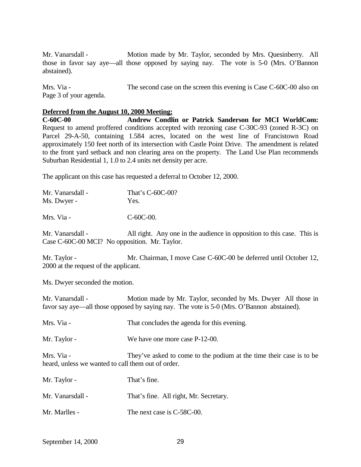Mr. Vanarsdall - Motion made by Mr. Taylor, seconded by Mrs. Quesinberry. All those in favor say aye—all those opposed by saying nay. The vote is 5-0 (Mrs. O'Bannon abstained).

Mrs. Via - The second case on the screen this evening is Case C-60C-00 also on Page 3 of your agenda.

#### **Deferred from the August 10, 2000 Meeting:**

**C-60C-00 Andrew Condlin or Patrick Sanderson for MCI WorldCom:** Request to amend proffered conditions accepted with rezoning case C-30C-93 (zoned R-3C) on Parcel 29-A-50, containing 1.584 acres, located on the west line of Francistown Road approximately 150 feet north of its intersection with Castle Point Drive. The amendment is related to the front yard setback and non clearing area on the property. The Land Use Plan recommends Suburban Residential 1, 1.0 to 2.4 units net density per acre.

The applicant on this case has requested a deferral to October 12, 2000.

| That's C-60C-00? |
|------------------|
| Yes.             |
|                  |

Mrs. Via - C-60C-00.

Mr. Vanarsdall - All right. Any one in the audience in opposition to this case. This is Case C-60C-00 MCI? No opposition. Mr. Taylor.

Mr. Taylor - Mr. Chairman, I move Case C-60C-00 be deferred until October 12, 2000 at the request of the applicant.

Ms. Dwyer seconded the motion.

Mr. Vanarsdall - Motion made by Mr. Taylor, seconded by Ms. Dwyer All those in favor say aye—all those opposed by saying nay. The vote is 5-0 (Mrs. O'Bannon abstained).

Mrs. Via - That concludes the agenda for this evening.

Mr. Taylor - We have one more case P-12-00.

Mrs. Via - They've asked to come to the podium at the time their case is to be heard, unless we wanted to call them out of order.

| Mr. Taylor -     | That's fine.                           |
|------------------|----------------------------------------|
| Mr. Vanarsdall - | That's fine. All right, Mr. Secretary. |
| Mr. Marlles -    | The next case is C-58C-00.             |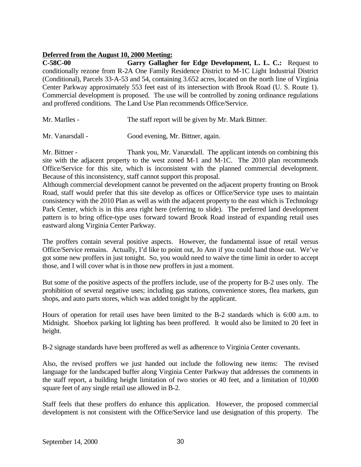### **Deferred from the August 10, 2000 Meeting:**

**C-58C-00 Garry Gallagher for Edge Development, L. L. C.:** Request to conditionally rezone from R-2A One Family Residence District to M-1C Light Industrial District (Conditional), Parcels 33-A-53 and 54, containing 3.652 acres, located on the north line of Virginia Center Parkway approximately 553 feet east of its intersection with Brook Road (U. S. Route 1). Commercial development is proposed. The use will be controlled by zoning ordinance regulations and proffered conditions. The Land Use Plan recommends Office/Service.

| Mr. Marlles -<br>The staff report will be given by Mr. Mark Bittner. |  |
|----------------------------------------------------------------------|--|
|----------------------------------------------------------------------|--|

Mr. Vanarsdall - Good evening, Mr. Bittner, again.

Mr. Bittner - Thank you, Mr. Vanarsdall. The applicant intends on combining this site with the adjacent property to the west zoned M-1 and M-1C. The 2010 plan recommends Office/Service for this site, which is inconsistent with the planned commercial development. Because of this inconsistency, staff cannot support this proposal.

Although commercial development cannot be prevented on the adjacent property fronting on Brook Road, staff would prefer that this site develop as offices or Office/Service type uses to maintain consistency with the 2010 Plan as well as with the adjacent property to the east which is Technology Park Center, which is in this area right here (referring to slide). The preferred land development pattern is to bring office-type uses forward toward Brook Road instead of expanding retail uses eastward along Virginia Center Parkway.

The proffers contain several positive aspects. However, the fundamental issue of retail versus Office/Service remains. Actually, I'd like to point out, Jo Ann if you could hand those out. We've got some new proffers in just tonight. So, you would need to waive the time limit in order to accept those, and I will cover what is in those new proffers in just a moment.

But some of the positive aspects of the proffers include, use of the property for B-2 uses only. The prohibition of several negative uses; including gas stations, convenience stores, flea markets, gun shops, and auto parts stores, which was added tonight by the applicant.

Hours of operation for retail uses have been limited to the B-2 standards which is 6:00 a.m. to Midnight. Shoebox parking lot lighting has been proffered. It would also be limited to 20 feet in height.

B-2 signage standards have been proffered as well as adherence to Virginia Center covenants.

Also, the revised proffers we just handed out include the following new items: The revised language for the landscaped buffer along Virginia Center Parkway that addresses the comments in the staff report, a building height limitation of two stories or 40 feet, and a limitation of 10,000 square feet of any single retail use allowed in B-2.

Staff feels that these proffers do enhance this application. However, the proposed commercial development is not consistent with the Office/Service land use designation of this property. The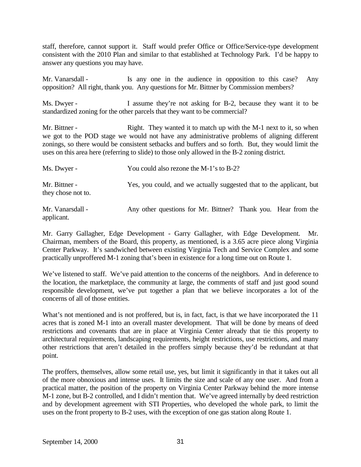staff, therefore, cannot support it. Staff would prefer Office or Office/Service-type development consistent with the 2010 Plan and similar to that established at Technology Park. I'd be happy to answer any questions you may have.

Mr. Vanarsdall - Is any one in the audience in opposition to this case? Any opposition? All right, thank you. Any questions for Mr. Bittner by Commission members?

Ms. Dwyer - I assume they're not asking for B-2, because they want it to be standardized zoning for the other parcels that they want to be commercial?

Mr. Bittner - Right. They wanted it to match up with the M-1 next to it, so when we got to the POD stage we would not have any administrative problems of aligning different zonings, so there would be consistent setbacks and buffers and so forth. But, they would limit the uses on this area here (referring to slide) to those only allowed in the B-2 zoning district.

| Ms. Dwyer -                         | You could also rezone the M-1's to B-2?                              |
|-------------------------------------|----------------------------------------------------------------------|
| Mr. Bittner -<br>they chose not to. | Yes, you could, and we actually suggested that to the applicant, but |
| $\cdots$                            |                                                                      |

Mr. Vanarsdall - Any other questions for Mr. Bittner? Thank you. Hear from the applicant.

Mr. Garry Gallagher, Edge Development - Garry Gallagher, with Edge Development. Mr. Chairman, members of the Board, this property, as mentioned, is a 3.65 acre piece along Virginia Center Parkway. It's sandwiched between existing Virginia Tech and Service Complex and some practically unproffered M-1 zoning that's been in existence for a long time out on Route 1.

We've listened to staff. We've paid attention to the concerns of the neighbors. And in deference to the location, the marketplace, the community at large, the comments of staff and just good sound responsible development, we've put together a plan that we believe incorporates a lot of the concerns of all of those entities.

What's not mentioned and is not proffered, but is, in fact, fact, is that we have incorporated the 11 acres that is zoned M-1 into an overall master development. That will be done by means of deed restrictions and covenants that are in place at Virginia Center already that tie this property to architectural requirements, landscaping requirements, height restrictions, use restrictions, and many other restrictions that aren't detailed in the proffers simply because they'd be redundant at that point.

The proffers, themselves, allow some retail use, yes, but limit it significantly in that it takes out all of the more obnoxious and intense uses. It limits the size and scale of any one user. And from a practical matter, the position of the property on Virginia Center Parkway behind the more intense M-1 zone, but B-2 controlled, and I didn't mention that. We've agreed internally by deed restriction and by development agreement with STI Properties, who developed the whole park, to limit the uses on the front property to B-2 uses, with the exception of one gas station along Route 1.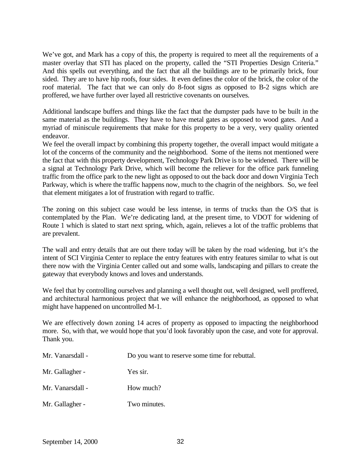We've got, and Mark has a copy of this, the property is required to meet all the requirements of a master overlay that STI has placed on the property, called the "STI Properties Design Criteria." And this spells out everything, and the fact that all the buildings are to be primarily brick, four sided. They are to have hip roofs, four sides. It even defines the color of the brick, the color of the roof material. The fact that we can only do 8-foot signs as opposed to B-2 signs which are proffered, we have further over layed all restrictive covenants on ourselves.

Additional landscape buffers and things like the fact that the dumpster pads have to be built in the same material as the buildings. They have to have metal gates as opposed to wood gates. And a myriad of miniscule requirements that make for this property to be a very, very quality oriented endeavor.

We feel the overall impact by combining this property together, the overall impact would mitigate a lot of the concerns of the community and the neighborhood. Some of the items not mentioned were the fact that with this property development, Technology Park Drive is to be widened. There will be a signal at Technology Park Drive, which will become the reliever for the office park funneling traffic from the office park to the new light as opposed to out the back door and down Virginia Tech Parkway, which is where the traffic happens now, much to the chagrin of the neighbors. So, we feel that element mitigates a lot of frustration with regard to traffic.

The zoning on this subject case would be less intense, in terms of trucks than the O/S that is contemplated by the Plan. We're dedicating land, at the present time, to VDOT for widening of Route 1 which is slated to start next spring, which, again, relieves a lot of the traffic problems that are prevalent.

The wall and entry details that are out there today will be taken by the road widening, but it's the intent of SCI Virginia Center to replace the entry features with entry features similar to what is out there now with the Virginia Center called out and some walls, landscaping and pillars to create the gateway that everybody knows and loves and understands.

We feel that by controlling ourselves and planning a well thought out, well designed, well proffered, and architectural harmonious project that we will enhance the neighborhood, as opposed to what might have happened on uncontrolled M-1.

We are effectively down zoning 14 acres of property as opposed to impacting the neighborhood more. So, with that, we would hope that you'd look favorably upon the case, and vote for approval. Thank you.

| Mr. Vanarsdall - | Do you want to reserve some time for rebuttal. |
|------------------|------------------------------------------------|
| Mr. Gallagher -  | Yes sir.                                       |
| Mr. Vanarsdall - | How much?                                      |
| Mr. Gallagher -  | Two minutes.                                   |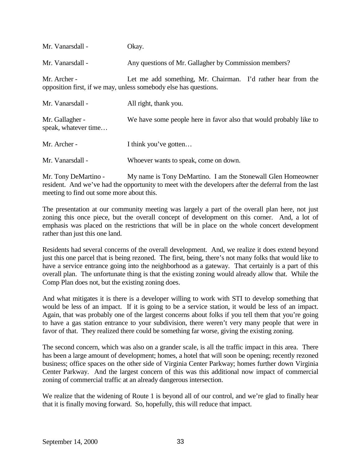| Mr. Vanarsdall -                        | Okay.                                                                                                                            |
|-----------------------------------------|----------------------------------------------------------------------------------------------------------------------------------|
| Mr. Vanarsdall -                        | Any questions of Mr. Gallagher by Commission members?                                                                            |
| Mr. Archer -                            | Let me add something, Mr. Chairman. I'd rather hear from the<br>opposition first, if we may, unless somebody else has questions. |
| Mr. Vanarsdall -                        | All right, thank you.                                                                                                            |
| Mr. Gallagher -<br>speak, whatever time | We have some people here in favor also that would probably like to                                                               |
| Mr. Archer -                            | I think you've gotten                                                                                                            |
| Mr. Vanarsdall -                        | Whoever wants to speak, come on down.                                                                                            |

Mr. Tony DeMartino - My name is Tony DeMartino. I am the Stonewall Glen Homeowner resident. And we've had the opportunity to meet with the developers after the deferral from the last meeting to find out some more about this.

The presentation at our community meeting was largely a part of the overall plan here, not just zoning this once piece, but the overall concept of development on this corner. And, a lot of emphasis was placed on the restrictions that will be in place on the whole concert development rather than just this one land.

Residents had several concerns of the overall development. And, we realize it does extend beyond just this one parcel that is being rezoned. The first, being, there's not many folks that would like to have a service entrance going into the neighborhood as a gateway. That certainly is a part of this overall plan. The unfortunate thing is that the existing zoning would already allow that. While the Comp Plan does not, but the existing zoning does.

And what mitigates it is there is a developer willing to work with STI to develop something that would be less of an impact. If it is going to be a service station, it would be less of an impact. Again, that was probably one of the largest concerns about folks if you tell them that you're going to have a gas station entrance to your subdivision, there weren't very many people that were in favor of that. They realized there could be something far worse, giving the existing zoning.

The second concern, which was also on a grander scale, is all the traffic impact in this area. There has been a large amount of development; homes, a hotel that will soon be opening; recently rezoned business; office spaces on the other side of Virginia Center Parkway; homes further down Virginia Center Parkway. And the largest concern of this was this additional now impact of commercial zoning of commercial traffic at an already dangerous intersection.

We realize that the widening of Route 1 is beyond all of our control, and we're glad to finally hear that it is finally moving forward. So, hopefully, this will reduce that impact.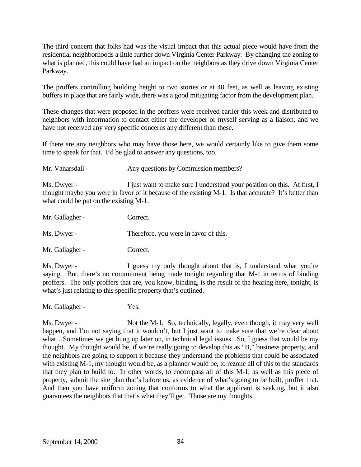The third concern that folks had was the visual impact that this actual piece would have from the residential neighborhoods a little further down Virginia Center Parkway. By changing the zoning to what is planned, this could have had an impact on the neighbors as they drive down Virginia Center Parkway.

The proffers controlling building height to two stories or at 40 feet, as well as leaving existing buffers in place that are fairly wide, there was a good mitigating factor from the development plan.

These changes that were proposed in the proffers were received earlier this week and distributed to neighbors with information to contact either the developer or myself serving as a liaison, and we have not received any very specific concerns any different than these.

If there are any neighbors who may have those here, we would certainly like to give them some time to speak for that. I'd be glad to answer any questions, too.

Mr. Vanarsdall - Any questions by Commission members?

Ms. Dwyer - I just want to make sure I understand your position on this. At first, I thought maybe you were in favor of it because of the existing M-1. Is that accurate? It's better than what could be put on the existing M-1.

| Mr. Gallagher - | Correct.                              |
|-----------------|---------------------------------------|
| Ms. Dwyer -     | Therefore, you were in favor of this. |
| Mr. Gallagher - | Correct.                              |

Ms. Dwyer - I guess my only thought about that is, I understand what you're saying. But, there's no commitment being made tonight regarding that M-1 in terms of binding proffers. The only proffers that are, you know, binding, is the result of the hearing here, tonight, is what's just relating to this specific property that's outlined.

Mr. Gallagher - Yes.

Ms. Dwyer - Not the M-1. So, technically, legally, even though, it may very well happen, and I'm not saying that it wouldn't, but I just want to make sure that we're clear about what...Sometimes we get hung up later on, in technical legal issues. So, I guess that would be my thought. My thought would be, if we're really going to develop this as "B," business property, and the neighbors are going to support it because they understand the problems that could be associated with existing M-1, my thought would be, as a planner would be, to rezone all of this to the standards that they plan to build to. In other words, to encompass all of this M-1, as well as this piece of property, submit the site plan that's before us, as evidence of what's going to be built, proffer that. And then you have uniform zoning that conforms to what the applicant is seeking, but it also guarantees the neighbors that that's what they'll get. Those are my thoughts.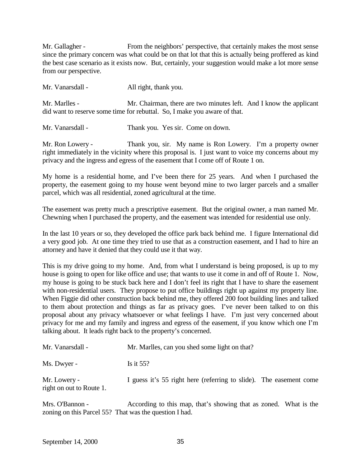Mr. Gallagher - From the neighbors' perspective, that certainly makes the most sense since the primary concern was what could be on that lot that this is actually being proffered as kind the best case scenario as it exists now. But, certainly, your suggestion would make a lot more sense from our perspective.

| Mr. Vanarsdall - | All right, thank you.                                                                                                                           |  |
|------------------|-------------------------------------------------------------------------------------------------------------------------------------------------|--|
| Mr. Marlles -    | Mr. Chairman, there are two minutes left. And I know the applicant<br>did want to reserve some time for rebuttal. So, I make you aware of that. |  |

Mr. Vanarsdall - Thank you. Yes sir. Come on down.

Mr. Ron Lowery - Thank you, sir. My name is Ron Lowery. I'm a property owner right immediately in the vicinity where this proposal is. I just want to voice my concerns about my privacy and the ingress and egress of the easement that I come off of Route 1 on.

My home is a residential home, and I've been there for 25 years. And when I purchased the property, the easement going to my house went beyond mine to two larger parcels and a smaller parcel, which was all residential, zoned agricultural at the time.

The easement was pretty much a prescriptive easement. But the original owner, a man named Mr. Chewning when I purchased the property, and the easement was intended for residential use only.

In the last 10 years or so, they developed the office park back behind me. I figure International did a very good job. At one time they tried to use that as a construction easement, and I had to hire an attorney and have it denied that they could use it that way.

This is my drive going to my home. And, from what I understand is being proposed, is up to my house is going to open for like office and use; that wants to use it come in and off of Route 1. Now, my house is going to be stuck back here and I don't feel its right that I have to share the easement with non-residential users. They propose to put office buildings right up against my property line. When Figgie did other construction back behind me, they offered 200 foot building lines and talked to them about protection and things as far as privacy goes. I've never been talked to on this proposal about any privacy whatsoever or what feelings I have. I'm just very concerned about privacy for me and my family and ingress and egress of the easement, if you know which one I'm talking about. It leads right back to the property's concerned.

| Mr. Vanarsdall -                         | Mr. Marlles, can you shed some light on that?                      |  |
|------------------------------------------|--------------------------------------------------------------------|--|
| Ms. Dwyer -                              | Is it $55$ ?                                                       |  |
| Mr. Lowery -<br>right on out to Route 1. | I guess it's 55 right here (referring to slide). The easement come |  |

Mrs. O'Bannon - According to this map, that's showing that as zoned. What is the zoning on this Parcel 55? That was the question I had.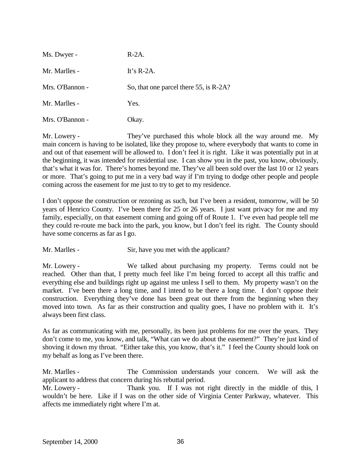| Ms. Dwyer -     | $R-2A$ .                               |
|-----------------|----------------------------------------|
| Mr. Marlles -   | It's $R-2A$ .                          |
| Mrs. O'Bannon - | So, that one parcel there 55, is R-2A? |
| Mr. Marlles -   | Yes.                                   |
| Mrs. O'Bannon - | Okay.                                  |

Mr. Lowery - They've purchased this whole block all the way around me. My main concern is having to be isolated, like they propose to, where everybody that wants to come in and out of that easement will be allowed to. I don't feel it is right. Like it was potentially put in at the beginning, it was intended for residential use. I can show you in the past, you know, obviously, that's what it was for. There's homes beyond me. They've all been sold over the last 10 or 12 years or more. That's going to put me in a very bad way if I'm trying to dodge other people and people coming across the easement for me just to try to get to my residence.

I don't oppose the construction or rezoning as such, but I've been a resident, tomorrow, will be 50 years of Henrico County. I've been there for 25 or 26 years. I just want privacy for me and my family, especially, on that easement coming and going off of Route 1. I've even had people tell me they could re-route me back into the park, you know, but I don't feel its right. The County should have some concerns as far as I go.

Mr. Marlles - Sir, have you met with the applicant?

Mr. Lowery - We talked about purchasing my property. Terms could not be reached. Other than that, I pretty much feel like I'm being forced to accept all this traffic and everything else and buildings right up against me unless I sell to them. My property wasn't on the market. I've been there a long time, and I intend to be there a long time. I don't oppose their construction. Everything they've done has been great out there from the beginning when they moved into town. As far as their construction and quality goes, I have no problem with it. It's always been first class.

As far as communicating with me, personally, its been just problems for me over the years. They don't come to me, you know, and talk, "What can we do about the easement?" They're just kind of shoving it down my throat. "Either take this, you know, that's it." I feel the County should look on my behalf as long as I've been there.

Mr. Marlles - The Commission understands your concern. We will ask the applicant to address that concern during his rebuttal period.

Mr. Lowery - Thank you. If I was not right directly in the middle of this, I wouldn't be here. Like if I was on the other side of Virginia Center Parkway, whatever. This affects me immediately right where I'm at.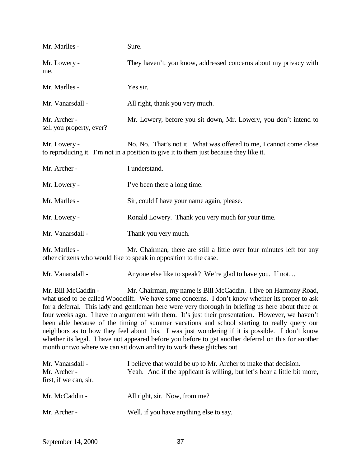| Mr. Marlles -                            | Sure.                                                                                                                                                        |
|------------------------------------------|--------------------------------------------------------------------------------------------------------------------------------------------------------------|
| Mr. Lowery -<br>me.                      | They haven't, you know, addressed concerns about my privacy with                                                                                             |
| Mr. Marlles -                            | Yes sir.                                                                                                                                                     |
| Mr. Vanarsdall -                         | All right, thank you very much.                                                                                                                              |
| Mr. Archer -<br>sell you property, ever? | Mr. Lowery, before you sit down, Mr. Lowery, you don't intend to                                                                                             |
| Mr. Lowery -                             | No. No. That's not it. What was offered to me, I cannot come close<br>to reproducing it. I'm not in a position to give it to them just because they like it. |
| Mr. Archer -                             | I understand.                                                                                                                                                |
| Mr. Lowery -                             | I've been there a long time.                                                                                                                                 |
| Mr. Marlles -                            | Sir, could I have your name again, please.                                                                                                                   |
| Mr. Lowery -                             | Ronald Lowery. Thank you very much for your time.                                                                                                            |
| Mr. Vanarsdall -                         | Thank you very much.                                                                                                                                         |
| Mr. Marlles -                            | Mr. Chairman, there are still a little over four minutes left for any<br>other citizens who would like to speak in opposition to the case.                   |
| Mr. Vanarsdall -                         | Anyone else like to speak? We're glad to have you. If not                                                                                                    |

Mr. Bill McCaddin - Mr. Chairman, my name is Bill McCaddin. I live on Harmony Road, what used to be called Woodcliff. We have some concerns. I don't know whether its proper to ask for a deferral. This lady and gentleman here were very thorough in briefing us here about three or four weeks ago. I have no argument with them. It's just their presentation. However, we haven't been able because of the timing of summer vacations and school starting to really query our neighbors as to how they feel about this. I was just wondering if it is possible. I don't know whether its legal. I have not appeared before you before to get another deferral on this for another month or two where we can sit down and try to work these glitches out.

| Mr. Vanarsdall -<br>Mr. Archer -<br>first, if we can, sir. | I believe that would be up to Mr. Archer to make that decision.<br>Yeah. And if the applicant is willing, but let's hear a little bit more, |
|------------------------------------------------------------|---------------------------------------------------------------------------------------------------------------------------------------------|
| Mr. McCaddin -                                             | All right, sir. Now, from me?                                                                                                               |
| Mr. Archer -                                               | Well, if you have anything else to say.                                                                                                     |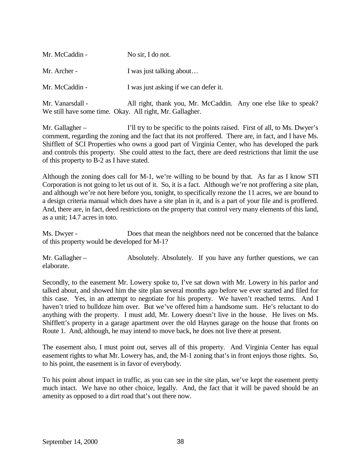| Mr. McCaddin -   | No sir, I do not.                                                                                                           |  |
|------------------|-----------------------------------------------------------------------------------------------------------------------------|--|
| Mr. Archer -     | I was just talking about                                                                                                    |  |
| Mr. McCaddin -   | I was just asking if we can defer it.                                                                                       |  |
| Mr. Vanarsdall - | All right, thank you, Mr. McCaddin. Any one else like to speak?<br>We still have some time. Okay. All right, Mr. Gallagher. |  |

Mr. Gallagher – I'll try to be specific to the points raised. First of all, to Ms. Dwyer's comment, regarding the zoning and the fact that its not proffered. There are, in fact, and I have Ms. Shifflett of SCI Properties who owns a good part of Virginia Center, who has developed the park and controls this property. She could attest to the fact, there are deed restrictions that limit the use of this property to B-2 as I have stated.

Although the zoning does call for M-1, we're willing to be bound by that. As far as I know STI Corporation is not going to let us out of it. So, it is a fact. Although we're not proffering a site plan, and although we're not here before you, tonight, to specifically rezone the 11 acres, we are bound to a design criteria manual which does have a site plan in it, and is a part of your file and is proffered. And, there are, in fact, deed restrictions on the property that control very many elements of this land, as a unit; 14.7 acres in toto.

Ms. Dwyer - Does that mean the neighbors need not be concerned that the balance of this property would be developed for M-1?

Mr. Gallagher – Absolutely. Absolutely. If you have any further questions, we can elaborate.

Secondly, to the easement Mr. Lowery spoke to, I've sat down with Mr. Lowery in his parlor and talked about, and showed him the site plan several months ago before we ever started and filed for this case. Yes, in an attempt to negotiate for his property. We haven't reached terms. And I haven't tried to bulldoze him over. But we've offered him a handsome sum. He's reluctant to do anything with the property. I must add, Mr. Lowery doesn't live in the house. He lives on Ms. Shifflett's property in a garage apartment over the old Haynes garage on the house that fronts on Route 1. And, although, he may intend to move back, he does not live there at present.

The easement also, I must point out, serves all of this property. And Virginia Center has equal easement rights to what Mr. Lowery has, and, the M-1 zoning that's in front enjoys those rights. So, to his point, the easement is in favor of everybody.

To his point about impact in traffic, as you can see in the site plan, we've kept the easement pretty much intact. We have no other choice, legally. And, the fact that it will be paved should be an amenity as opposed to a dirt road that's out there now.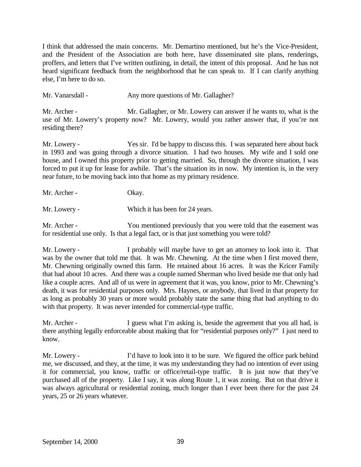I think that addressed the main concerns. Mr. Demartino mentioned, but he's the Vice-President, and the President of the Association are both here, have disseminated site plans, renderings, proffers, and letters that I've written outlining, in detail, the intent of this proposal. And he has not heard significant feedback from the neighborhood that he can speak to. If I can clarify anything else, I'm here to do so.

Mr. Vanarsdall - Any more questions of Mr. Gallagher?

Mr. Archer - Mr. Gallagher, or Mr. Lowery can answer if he wants to, what is the use of Mr. Lowery's property now? Mr. Lowery, would you rather answer that, if you're not residing there?

Mr. Lowery - Yes sir. I'd be happy to discuss this. I was separated here about back in 1993 and was going through a divorce situation. I had two houses. My wife and I sold one house, and I owned this property prior to getting married. So, through the divorce situation, I was forced to put it up for lease for awhile. That's the situation its in now. My intention is, in the very near future, to be moving back into that home as my primary residence.

Mr. Archer - Okay.

Mr. Lowery - Which it has been for 24 years.

Mr. Archer - You mentioned previously that you were told that the easement was for residential use only. Is that a legal fact, or is that just something you were told?

Mr. Lowery - I probably will maybe have to get an attorney to look into it. That was by the owner that told me that. It was Mr. Chewning. At the time when I first moved there, Mr. Chewning originally owned this farm. He retained about 16 acres. It was the Kricer Family that had about 10 acres. And there was a couple named Sherman who lived beside me that only had like a couple acres. And all of us were in agreement that it was, you know, prior to Mr. Chewning's death, it was for residential purposes only. Mrs. Haynes, or anybody, that lived in that property for as long as probably 30 years or more would probably state the same thing that had anything to do with that property. It was never intended for commercial-type traffic.

Mr. Archer - I guess what I'm asking is, beside the agreement that you all had, is there anything legally enforceable about making that for "residential purposes only?" I just need to know.

Mr. Lowery - I'd have to look into it to be sure. We figured the office park behind me, we discussed, and they, at the time, it was my understanding they had no intention of ever using it for commercial, you know, traffic or office/retail-type traffic. It is just now that they've purchased all of the property. Like I say, it was along Route 1, it was zoning. But on that drive it was always agricultural or residential zoning, much longer than I ever been there for the past 24 years, 25 or 26 years whatever.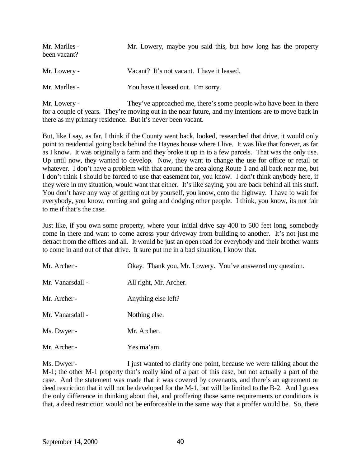| Mr. Marlles -<br>been vacant? | Mr. Lowery, maybe you said this, but how long has the property |
|-------------------------------|----------------------------------------------------------------|
| Mr. Lowery -                  | Vacant? It's not vacant. I have it leased.                     |
| Mr. Marlles -                 | You have it leased out. I'm sorry.                             |

Mr. Lowery - They've approached me, there's some people who have been in there for a couple of years. They're moving out in the near future, and my intentions are to move back in there as my primary residence. But it's never been vacant.

But, like I say, as far, I think if the County went back, looked, researched that drive, it would only point to residential going back behind the Haynes house where I live. It was like that forever, as far as I know. It was originally a farm and they broke it up in to a few parcels. That was the only use. Up until now, they wanted to develop. Now, they want to change the use for office or retail or whatever. I don't have a problem with that around the area along Route 1 and all back near me, but I don't think I should be forced to use that easement for, you know. I don't think anybody here, if they were in my situation, would want that either. It's like saying, you are back behind all this stuff. You don't have any way of getting out by yourself, you know, onto the highway. I have to wait for everybody, you know, coming and going and dodging other people. I think, you know, its not fair to me if that's the case.

Just like, if you own some property, where your initial drive say 400 to 500 feet long, somebody come in there and want to come across your driveway from building to another. It's not just me detract from the offices and all. It would be just an open road for everybody and their brother wants to come in and out of that drive. It sure put me in a bad situation, I know that.

| Mr. Archer -     | Okay. Thank you, Mr. Lowery. You've answered my question. |
|------------------|-----------------------------------------------------------|
| Mr. Vanarsdall - | All right, Mr. Archer.                                    |
| Mr. Archer -     | Anything else left?                                       |
| Mr. Vanarsdall - | Nothing else.                                             |
| Ms. Dwyer -      | Mr. Archer.                                               |
| Mr. Archer -     | Yes ma'am.                                                |

Ms. Dwyer - I just wanted to clarify one point, because we were talking about the M-1; the other M-1 property that's really kind of a part of this case, but not actually a part of the case. And the statement was made that it was covered by covenants, and there's an agreement or deed restriction that it will not be developed for the M-1, but will be limited to the B-2. And I guess the only difference in thinking about that, and proffering those same requirements or conditions is that, a deed restriction would not be enforceable in the same way that a proffer would be. So, there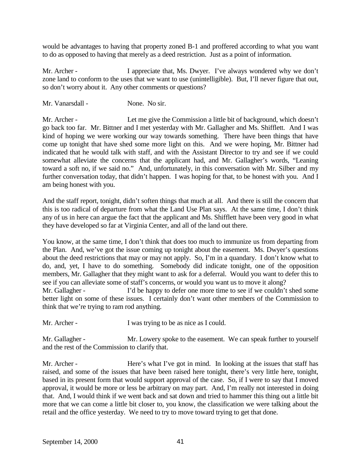would be advantages to having that property zoned B-1 and proffered according to what you want to do as opposed to having that merely as a deed restriction. Just as a point of information.

Mr. Archer - I appreciate that, Ms. Dwyer. I've always wondered why we don't zone land to conform to the uses that we want to use (unintelligible). But, I'll never figure that out, so don't worry about it. Any other comments or questions?

Mr. Vanarsdall - None. No sir.

Mr. Archer - Let me give the Commission a little bit of background, which doesn't go back too far. Mr. Bittner and I met yesterday with Mr. Gallagher and Ms. Shifflett. And I was kind of hoping we were working our way towards something. There have been things that have come up tonight that have shed some more light on this. And we were hoping, Mr. Bittner had indicated that he would talk with staff, and with the Assistant Director to try and see if we could somewhat alleviate the concerns that the applicant had, and Mr. Gallagher's words, "Leaning toward a soft no, if we said no." And, unfortunately, in this conversation with Mr. Silber and my further conversation today, that didn't happen. I was hoping for that, to be honest with you. And I am being honest with you.

And the staff report, tonight, didn't soften things that much at all. And there is still the concern that this is too radical of departure from what the Land Use Plan says. At the same time, I don't think any of us in here can argue the fact that the applicant and Ms. Shifflett have been very good in what they have developed so far at Virginia Center, and all of the land out there.

You know, at the same time, I don't think that does too much to immunize us from departing from the Plan. And, we've got the issue coming up tonight about the easement. Ms. Dwyer's questions about the deed restrictions that may or may not apply. So, I'm in a quandary. I don't know what to do, and, yet, I have to do something. Somebody did indicate tonight, one of the opposition members, Mr. Gallagher that they might want to ask for a deferral. Would you want to defer this to see if you can alleviate some of staff's concerns, or would you want us to move it along?

Mr. Gallagher - I'd be happy to defer one more time to see if we couldn't shed some better light on some of these issues. I certainly don't want other members of the Commission to think that we're trying to ram rod anything.

Mr. Archer - I was trying to be as nice as I could.

Mr. Gallagher - Mr. Lowery spoke to the easement. We can speak further to yourself and the rest of the Commission to clarify that.

Mr. Archer - Here's what I've got in mind. In looking at the issues that staff has raised, and some of the issues that have been raised here tonight, there's very little here, tonight, based in its present form that would support approval of the case. So, if I were to say that I moved approval, it would be more or less be arbitrary on may part. And, I'm really not interested in doing that. And, I would think if we went back and sat down and tried to hammer this thing out a little bit more that we can come a little bit closer to, you know, the classification we were talking about the retail and the office yesterday. We need to try to move toward trying to get that done.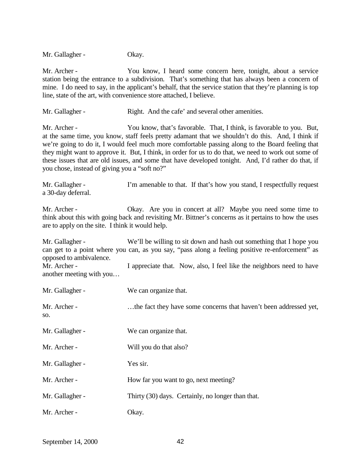Mr. Gallagher - Okay.

Mr. Archer - You know, I heard some concern here, tonight, about a service station being the entrance to a subdivision. That's something that has always been a concern of mine. I do need to say, in the applicant's behalf, that the service station that they're planning is top line, state of the art, with convenience store attached, I believe.

Mr. Gallagher - Right. And the cafe' and several other amenities.

Mr. Archer - You know, that's favorable. That, I think, is favorable to you. But, at the same time, you know, staff feels pretty adamant that we shouldn't do this. And, I think if we're going to do it, I would feel much more comfortable passing along to the Board feeling that they might want to approve it. But, I think, in order for us to do that, we need to work out some of these issues that are old issues, and some that have developed tonight. And, I'd rather do that, if you chose, instead of giving you a "soft no?"

Mr. Gallagher - I'm amenable to that. If that's how you stand, I respectfully request a 30-day deferral.

Mr. Archer - Chay. Are you in concert at all? Maybe you need some time to think about this with going back and revisiting Mr. Bittner's concerns as it pertains to how the uses are to apply on the site. I think it would help.

Mr. Gallagher - We'll be willing to sit down and hash out something that I hope you can get to a point where you can, as you say, "pass along a feeling positive re-enforcement" as opposed to ambivalence. Mr. Archer - I appreciate that. Now, also, I feel like the neighbors need to have

another meeting with you…

| Mr. Gallagher -     | We can organize that.                                             |
|---------------------|-------------------------------------------------------------------|
| Mr. Archer -<br>SO. | the fact they have some concerns that haven't been addressed yet, |
| Mr. Gallagher -     | We can organize that.                                             |
| Mr. Archer -        | Will you do that also?                                            |
| Mr. Gallagher -     | Yes sir.                                                          |
| Mr. Archer -        | How far you want to go, next meeting?                             |
| Mr. Gallagher -     | Thirty (30) days. Certainly, no longer than that.                 |
| Mr. Archer -        | Okay.                                                             |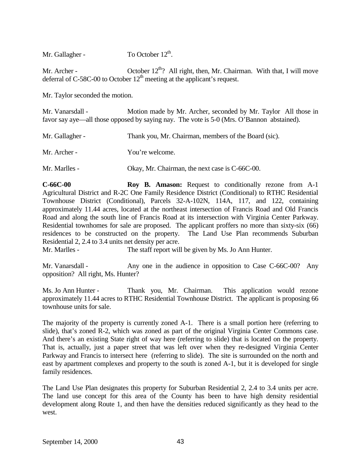Mr. Gallagher - To October  $12<sup>th</sup>$ .

Mr. Archer -  $\qquad \qquad$  October 12<sup>th</sup>? All right, then, Mr. Chairman. With that, I will move deferral of C-58C-00 to October  $12<sup>th</sup>$  meeting at the applicant's request.

Mr. Taylor seconded the motion.

Mr. Vanarsdall - Motion made by Mr. Archer, seconded by Mr. Taylor All those in favor say aye—all those opposed by saying nay. The vote is 5-0 (Mrs. O'Bannon abstained).

| Mr. Gallagher - | Thank you, Mr. Chairman, members of the Board (sic). |
|-----------------|------------------------------------------------------|
| Mr. Archer -    | You're welcome.                                      |
| Mr. Marlles -   | Okay, Mr. Chairman, the next case is C-66C-00.       |

**C-66C-00 Roy B. Amason:** Request to conditionally rezone from A-1 Agricultural District and R-2C One Family Residence District (Conditional) to RTHC Residential Townhouse District (Conditional), Parcels 32-A-102N, 114A, 117, and 122, containing approximately 11.44 acres, located at the northeast intersection of Francis Road and Old Francis Road and along the south line of Francis Road at its intersection with Virginia Center Parkway. Residential townhomes for sale are proposed. The applicant proffers no more than sixty-six (66) residences to be constructed on the property. The Land Use Plan recommends Suburban Residential 2, 2.4 to 3.4 units net density per acre.

Mr. Marlles - The staff report will be given by Ms. Jo Ann Hunter.

Mr. Vanarsdall - Any one in the audience in opposition to Case C-66C-00? Any opposition? All right, Ms. Hunter?

Ms. Jo Ann Hunter - Thank you, Mr. Chairman. This application would rezone approximately 11.44 acres to RTHC Residential Townhouse District. The applicant is proposing 66 townhouse units for sale.

The majority of the property is currently zoned A-1. There is a small portion here (referring to slide), that's zoned R-2, which was zoned as part of the original Virginia Center Commons case. And there's an existing State right of way here (referring to slide) that is located on the property. That is, actually, just a paper street that was left over when they re-designed Virginia Center Parkway and Francis to intersect here (referring to slide). The site is surrounded on the north and east by apartment complexes and property to the south is zoned A-1, but it is developed for single family residences.

The Land Use Plan designates this property for Suburban Residential 2, 2.4 to 3.4 units per acre. The land use concept for this area of the County has been to have high density residential development along Route 1, and then have the densities reduced significantly as they head to the west.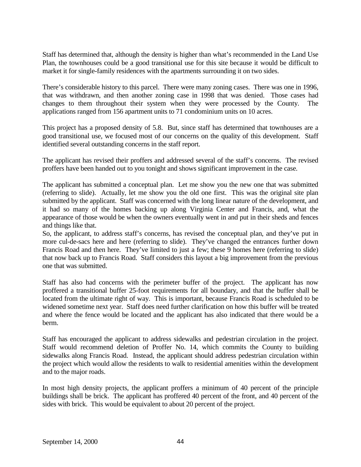Staff has determined that, although the density is higher than what's recommended in the Land Use Plan, the townhouses could be a good transitional use for this site because it would be difficult to market it for single-family residences with the apartments surrounding it on two sides.

There's considerable history to this parcel. There were many zoning cases. There was one in 1996, that was withdrawn, and then another zoning case in 1998 that was denied. Those cases had changes to them throughout their system when they were processed by the County. The applications ranged from 156 apartment units to 71 condominium units on 10 acres.

This project has a proposed density of 5.8. But, since staff has determined that townhouses are a good transitional use, we focused most of our concerns on the quality of this development. Staff identified several outstanding concerns in the staff report.

The applicant has revised their proffers and addressed several of the staff's concerns. The revised proffers have been handed out to you tonight and shows significant improvement in the case.

The applicant has submitted a conceptual plan. Let me show you the new one that was submitted (referring to slide). Actually, let me show you the old one first. This was the original site plan submitted by the applicant. Staff was concerned with the long linear nature of the development, and it had so many of the homes backing up along Virginia Center and Francis, and, what the appearance of those would be when the owners eventually went in and put in their sheds and fences and things like that.

So, the applicant, to address staff's concerns, has revised the conceptual plan, and they've put in more cul-de-sacs here and here (referring to slide). They've changed the entrances further down Francis Road and then here. They've limited to just a few; these 9 homes here (referring to slide) that now back up to Francis Road. Staff considers this layout a big improvement from the previous one that was submitted.

Staff has also had concerns with the perimeter buffer of the project. The applicant has now proffered a transitional buffer 25-foot requirements for all boundary, and that the buffer shall be located from the ultimate right of way. This is important, because Francis Road is scheduled to be widened sometime next year. Staff does need further clarification on how this buffer will be treated and where the fence would be located and the applicant has also indicated that there would be a berm.

Staff has encouraged the applicant to address sidewalks and pedestrian circulation in the project. Staff would recommend deletion of Proffer No. 14, which commits the County to building sidewalks along Francis Road. Instead, the applicant should address pedestrian circulation within the project which would allow the residents to walk to residential amenities within the development and to the major roads.

In most high density projects, the applicant proffers a minimum of 40 percent of the principle buildings shall be brick. The applicant has proffered 40 percent of the front, and 40 percent of the sides with brick. This would be equivalent to about 20 percent of the project.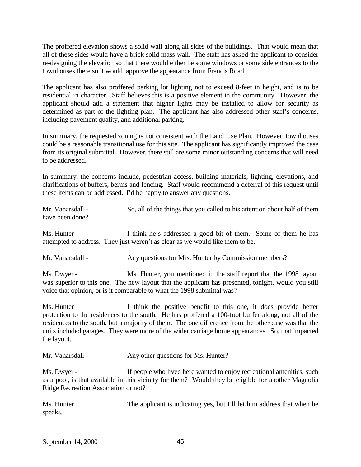The proffered elevation shows a solid wall along all sides of the buildings. That would mean that all of these sides would have a brick solid mass wall. The staff has asked the applicant to consider re-designing the elevation so that there would either be some windows or some side entrances to the townhouses there so it would approve the appearance from Francis Road.

The applicant has also proffered parking lot lighting not to exceed 8-feet in height, and is to be residential in character. Staff believes this is a positive element in the community. However, the applicant should add a statement that higher lights may be installed to allow for security as determined as part of the lighting plan. The applicant has also addressed other staff's concerns, including pavement quality, and additional parking.

In summary, the requested zoning is not consistent with the Land Use Plan. However, townhouses could be a reasonable transitional use for this site. The applicant has significantly improved the case from its original submittal. However, there still are some minor outstanding concerns that will need to be addressed.

In summary, the concerns include, pedestrian access, building materials, lighting, elevations, and clarifications of buffers, berms and fencing. Staff would recommend a deferral of this request until these items can be addressed. I'd be happy to answer any questions.

Mr. Vanarsdall - So, all of the things that you called to his attention about half of them have been done?

Ms. Hunter I think he's addressed a good bit of them. Some of them he has attempted to address. They just weren't as clear as we would like them to be.

Mr. Vanarsdall - Any questions for Mrs. Hunter by Commission members?

Ms. Dwyer - Ms. Hunter, you mentioned in the staff report that the 1998 layout was superior to this one. The new layout that the applicant has presented, tonight, would you still voice that opinion, or is it comparable to what the 1998 submittal was?

Ms. Hunter I think the positive benefit to this one, it does provide better protection to the residences to the south. He has proffered a 100-foot buffer along, not all of the residences to the south, but a majority of them. The one difference from the other case was that the units included garages. They were more of the wider carriage home appearances. So, that impacted the layout.

Mr. Vanarsdall - Any other questions for Ms. Hunter?

Ms. Dwyer - If people who lived here wanted to enjoy recreational amenities, such as a pool, is that available in this vicinity for them? Would they be eligible for another Magnolia Ridge Recreation Association or not?

Ms. Hunter The applicant is indicating yes, but I'll let him address that when he speaks.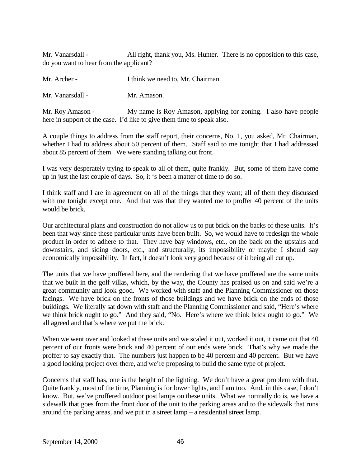Mr. Vanarsdall - All right, thank you, Ms. Hunter. There is no opposition to this case, do you want to hear from the applicant?

Mr. Archer - I think we need to, Mr. Chairman.

Mr. Vanarsdall - Mr. Amason.

Mr. Roy Amason - My name is Roy Amason, applying for zoning. I also have people here in support of the case. I'd like to give them time to speak also.

A couple things to address from the staff report, their concerns, No. 1, you asked, Mr. Chairman, whether I had to address about 50 percent of them. Staff said to me tonight that I had addressed about 85 percent of them. We were standing talking out front.

I was very desperately trying to speak to all of them, quite frankly. But, some of them have come up in just the last couple of days. So, it 's been a matter of time to do so.

I think staff and I are in agreement on all of the things that they want; all of them they discussed with me tonight except one. And that was that they wanted me to proffer 40 percent of the units would be brick.

Our architectural plans and construction do not allow us to put brick on the backs of these units. It's been that way since these particular units have been built. So, we would have to redesign the whole product in order to adhere to that. They have bay windows, etc., on the back on the upstairs and downstairs, and siding doors, etc., and structurally, its impossibility or maybe I should say economically impossibility. In fact, it doesn't look very good because of it being all cut up.

The units that we have proffered here, and the rendering that we have proffered are the same units that we built in the golf villas, which, by the way, the County has praised us on and said we're a great community and look good. We worked with staff and the Planning Commissioner on those facings. We have brick on the fronts of those buildings and we have brick on the ends of those buildings. We literally sat down with staff and the Planning Commissioner and said, "Here's where we think brick ought to go." And they said, "No. Here's where we think brick ought to go." We all agreed and that's where we put the brick.

When we went over and looked at these units and we scaled it out, worked it out, it came out that 40 percent of our fronts were brick and 40 percent of our ends were brick. That's why we made the proffer to say exactly that. The numbers just happen to be 40 percent and 40 percent. But we have a good looking project over there, and we're proposing to build the same type of project.

Concerns that staff has, one is the height of the lighting. We don't have a great problem with that. Quite frankly, most of the time, Planning is for lower lights, and I am too. And, in this case, I don't know. But, we've proffered outdoor post lamps on these units. What we normally do is, we have a sidewalk that goes from the front door of the unit to the parking areas and to the sidewalk that runs around the parking areas, and we put in a street lamp – a residential street lamp.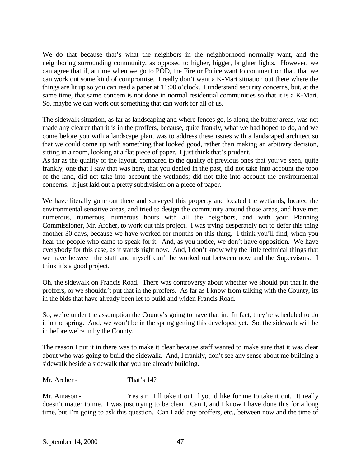We do that because that's what the neighbors in the neighborhood normally want, and the neighboring surrounding community, as opposed to higher, bigger, brighter lights. However, we can agree that if, at time when we go to POD, the Fire or Police want to comment on that, that we can work out some kind of compromise. I really don't want a K-Mart situation out there where the things are lit up so you can read a paper at 11:00 o'clock. I understand security concerns, but, at the same time, that same concern is not done in normal residential communities so that it is a K-Mart. So, maybe we can work out something that can work for all of us.

The sidewalk situation, as far as landscaping and where fences go, is along the buffer areas, was not made any clearer than it is in the proffers, because, quite frankly, what we had hoped to do, and we come before you with a landscape plan, was to address these issues with a landscaped architect so that we could come up with something that looked good, rather than making an arbitrary decision, sitting in a room, looking at a flat piece of paper. I just think that's prudent.

As far as the quality of the layout, compared to the quality of previous ones that you've seen, quite frankly, one that I saw that was here, that you denied in the past, did not take into account the topo of the land, did not take into account the wetlands; did not take into account the environmental concerns. It just laid out a pretty subdivision on a piece of paper.

We have literally gone out there and surveyed this property and located the wetlands, located the environmental sensitive areas, and tried to design the community around those areas, and have met numerous, numerous, numerous hours with all the neighbors, and with your Planning Commissioner, Mr. Archer, to work out this project. I was trying desperately not to defer this thing another 30 days, because we have worked for months on this thing. I think you'll find, when you hear the people who came to speak for it. And, as you notice, we don't have opposition. We have everybody for this case, as it stands right now. And, I don't know why the little technical things that we have between the staff and myself can't be worked out between now and the Supervisors. I think it's a good project.

Oh, the sidewalk on Francis Road. There was controversy about whether we should put that in the proffers, or we shouldn't put that in the proffers. As far as I know from talking with the County, its in the bids that have already been let to build and widen Francis Road.

So, we're under the assumption the County's going to have that in. In fact, they're scheduled to do it in the spring. And, we won't be in the spring getting this developed yet. So, the sidewalk will be in before we're in by the County.

The reason I put it in there was to make it clear because staff wanted to make sure that it was clear about who was going to build the sidewalk. And, I frankly, don't see any sense about me building a sidewalk beside a sidewalk that you are already building.

Mr. Archer - That's 14?

Mr. Amason - Yes sir. I'll take it out if you'd like for me to take it out. It really doesn't matter to me. I was just trying to be clear. Can I, and I know I have done this for a long time, but I'm going to ask this question. Can I add any proffers, etc., between now and the time of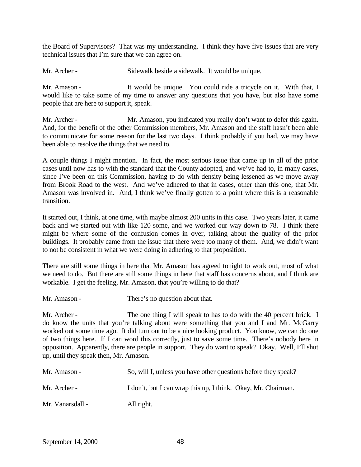the Board of Supervisors? That was my understanding. I think they have five issues that are very technical issues that I'm sure that we can agree on.

Mr. Archer - Sidewalk beside a sidewalk. It would be unique.

Mr. Amason - It would be unique. You could ride a tricycle on it. With that, I would like to take some of my time to answer any questions that you have, but also have some people that are here to support it, speak.

Mr. Archer - Mr. Amason, you indicated you really don't want to defer this again. And, for the benefit of the other Commission members, Mr. Amason and the staff hasn't been able to communicate for some reason for the last two days. I think probably if you had, we may have been able to resolve the things that we need to.

A couple things I might mention. In fact, the most serious issue that came up in all of the prior cases until now has to with the standard that the County adopted, and we've had to, in many cases, since I've been on this Commission, having to do with density being lessened as we move away from Brook Road to the west. And we've adhered to that in cases, other than this one, that Mr. Amason was involved in. And, I think we've finally gotten to a point where this is a reasonable transition.

It started out, I think, at one time, with maybe almost 200 units in this case. Two years later, it came back and we started out with like 120 some, and we worked our way down to 78. I think there might be where some of the confusion comes in over, talking about the quality of the prior buildings. It probably came from the issue that there were too many of them. And, we didn't want to not be consistent in what we were doing in adhering to that proposition.

There are still some things in here that Mr. Amason has agreed tonight to work out, most of what we need to do. But there are still some things in here that staff has concerns about, and I think are workable. I get the feeling, Mr. Amason, that you're willing to do that?

Mr. Amason - There's no question about that.

Mr. Archer - The one thing I will speak to has to do with the 40 percent brick. I do know the units that you're talking about were something that you and I and Mr. McGarry worked out some time ago. It did turn out to be a nice looking product. You know, we can do one of two things here. If I can word this correctly, just to save some time. There's nobody here in opposition. Apparently, there are people in support. They do want to speak? Okay. Well, I'll shut up, until they speak then, Mr. Amason.

| Mr. Amason -     | So, will I, unless you have other questions before they speak? |
|------------------|----------------------------------------------------------------|
| Mr. Archer -     | I don't, but I can wrap this up, I think. Okay, Mr. Chairman.  |
| Mr. Vanarsdall - | All right.                                                     |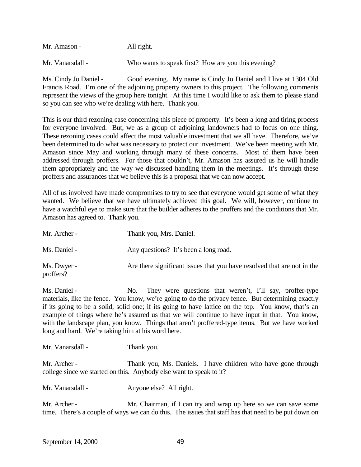| Mr. Amason -     | All right. |                                                     |
|------------------|------------|-----------------------------------------------------|
| Mr. Vanarsdall - |            | Who wants to speak first? How are you this evening? |

Ms. Cindy Jo Daniel - Good evening. My name is Cindy Jo Daniel and I live at 1304 Old Francis Road. I'm one of the adjoining property owners to this project. The following comments represent the views of the group here tonight. At this time I would like to ask them to please stand so you can see who we're dealing with here. Thank you.

This is our third rezoning case concerning this piece of property. It's been a long and tiring process for everyone involved. But, we as a group of adjoining landowners had to focus on one thing. These rezoning cases could affect the most valuable investment that we all have. Therefore, we've been determined to do what was necessary to protect our investment. We've been meeting with Mr. Amason since May and working through many of these concerns. Most of them have been addressed through proffers. For those that couldn't, Mr. Amason has assured us he will handle them appropriately and the way we discussed handling them in the meetings. It's through these proffers and assurances that we believe this is a proposal that we can now accept.

All of us involved have made compromises to try to see that everyone would get some of what they wanted. We believe that we have ultimately achieved this goal. We will, however, continue to have a watchful eye to make sure that the builder adheres to the proffers and the conditions that Mr. Amason has agreed to. Thank you.

| Mr. Archer -             | Thank you, Mrs. Daniel.                                                 |
|--------------------------|-------------------------------------------------------------------------|
| Ms. Daniel -             | Any questions? It's been a long road.                                   |
| Ms. Dwyer -<br>proffers? | Are there significant issues that you have resolved that are not in the |

Ms. Daniel - No. They were questions that weren't, I'll say, proffer-type materials, like the fence. You know, we're going to do the privacy fence. But determining exactly if its going to be a solid, solid one; if its going to have lattice on the top. You know, that's an example of things where he's assured us that we will continue to have input in that. You know, with the landscape plan, you know. Things that aren't proffered-type items. But we have worked long and hard. We're taking him at his word here.

Mr. Vanarsdall - Thank you.

Mr. Archer - Thank you, Ms. Daniels. I have children who have gone through college since we started on this. Anybody else want to speak to it?

Mr. Vanarsdall - Anyone else? All right.

Mr. Archer - Mr. Chairman, if I can try and wrap up here so we can save some time. There's a couple of ways we can do this. The issues that staff has that need to be put down on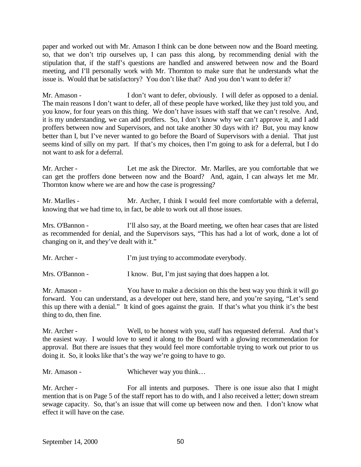paper and worked out with Mr. Amason I think can be done between now and the Board meeting. so, that we don't trip ourselves up, I can pass this along, by recommending denial with the stipulation that, if the staff's questions are handled and answered between now and the Board meeting, and I'll personally work with Mr. Thornton to make sure that he understands what the issue is. Would that be satisfactory? You don't like that? And you don't want to defer it?

Mr. Amason - I don't want to defer, obviously. I will defer as opposed to a denial. The main reasons I don't want to defer, all of these people have worked, like they just told you, and you know, for four years on this thing. We don't have issues with staff that we can't resolve. And, it is my understanding, we can add proffers. So, I don't know why we can't approve it, and I add proffers between now and Supervisors, and not take another 30 days with it? But, you may know better than I, but I've never wanted to go before the Board of Supervisors with a denial. That just seems kind of silly on my part. If that's my choices, then I'm going to ask for a deferral, but I do not want to ask for a deferral.

Mr. Archer - Let me ask the Director. Mr. Marlles, are you comfortable that we can get the proffers done between now and the Board? And, again, I can always let me Mr. Thornton know where we are and how the case is progressing?

Mr. Marlles - Mr. Archer, I think I would feel more comfortable with a deferral, knowing that we had time to, in fact, be able to work out all those issues.

Mrs. O'Bannon - I'll also say, at the Board meeting, we often hear cases that are listed as recommended for denial, and the Supervisors says, "This has had a lot of work, done a lot of changing on it, and they've dealt with it."

| Mr. Archer - | I'm just trying to accommodate everybody. |
|--------------|-------------------------------------------|
|              |                                           |

Mrs. O'Bannon - I know. But, I'm just saying that does happen a lot.

Mr. Amason - You have to make a decision on this the best way you think it will go forward. You can understand, as a developer out here, stand here, and you're saying, "Let's send this up there with a denial." It kind of goes against the grain. If that's what you think it's the best thing to do, then fine.

Mr. Archer - Well, to be honest with you, staff has requested deferral. And that's the easiest way. I would love to send it along to the Board with a glowing recommendation for approval. But there are issues that they would feel more comfortable trying to work out prior to us doing it. So, it looks like that's the way we're going to have to go.

Mr. Amason - Whichever way you think...

Mr. Archer - For all intents and purposes. There is one issue also that I might mention that is on Page 5 of the staff report has to do with, and I also received a letter; down stream sewage capacity. So, that's an issue that will come up between now and then. I don't know what effect it will have on the case.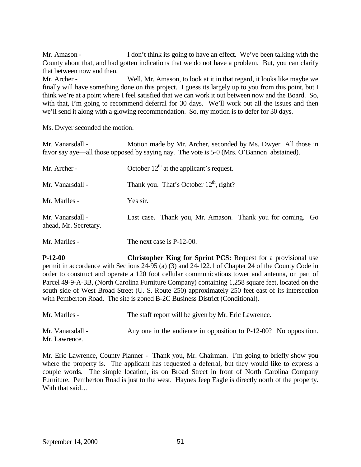Mr. Amason - I don't think its going to have an effect. We've been talking with the County about that, and had gotten indications that we do not have a problem. But, you can clarify that between now and then. Mr. Archer - Well, Mr. Amason, to look at it in that regard, it looks like maybe we finally will have something done on this project. I guess its largely up to you from this point, but I think we're at a point where I feel satisfied that we can work it out between now and the Board. So, with that, I'm going to recommend deferral for 30 days. We'll work out all the issues and then we'll send it along with a glowing recommendation. So, my motion is to defer for 30 days.

Ms. Dwyer seconded the motion.

Mr. Vanarsdall - Motion made by Mr. Archer, seconded by Ms. Dwyer All those in favor say aye—all those opposed by saying nay. The vote is 5-0 (Mrs. O'Bannon abstained).

| Mr. Archer -                              | October $12th$ at the applicant's request.                 |
|-------------------------------------------|------------------------------------------------------------|
| Mr. Vanarsdall -                          | Thank you. That's October $12th$ , right?                  |
| Mr. Marlles -                             | Yes sir.                                                   |
| Mr. Vanarsdall -<br>ahead, Mr. Secretary. | Last case. Thank you, Mr. Amason. Thank you for coming. Go |
| Mr. Marlles -                             | The next case is P-12-00.                                  |

**P-12-00 Christopher King for Sprint PCS:** Request for a provisional use permit in accordance with Sections 24-95 (a) (3) and 24-122.1 of Chapter 24 of the County Code in order to construct and operate a 120 foot cellular communications tower and antenna, on part of Parcel 49-9-A-3B, (North Carolina Furniture Company) containing 1,258 square feet, located on the south side of West Broad Street (U. S. Route 250) approximately 250 feet east of its intersection with Pemberton Road. The site is zoned B-2C Business District (Conditional).

| Mr. Marlles -                     | The staff report will be given by Mr. Eric Lawrence.                |  |
|-----------------------------------|---------------------------------------------------------------------|--|
| Mr. Vanarsdall -<br>Mr. Lawrence. | Any one in the audience in opposition to $P-12-00$ ? No opposition. |  |

Mr. Eric Lawrence, County Planner - Thank you, Mr. Chairman. I'm going to briefly show you where the property is. The applicant has requested a deferral, but they would like to express a couple words. The simple location, its on Broad Street in front of North Carolina Company Furniture. Pemberton Road is just to the west. Haynes Jeep Eagle is directly north of the property. With that said…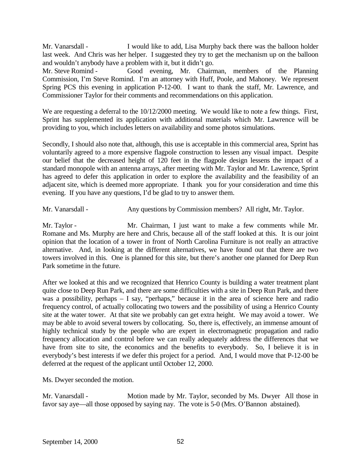Mr. Vanarsdall - I would like to add, Lisa Murphy back there was the balloon holder last week. And Chris was her helper. I suggested they try to get the mechanism up on the balloon and wouldn't anybody have a problem with it, but it didn't go.

Mr. Steve Romind - Good evening, Mr. Chairman, members of the Planning Commission, I'm Steve Romind. I'm an attorney with Huff, Poole, and Mahoney. We represent Spring PCS this evening in application P-12-00. I want to thank the staff, Mr. Lawrence, and Commissioner Taylor for their comments and recommendations on this application.

We are requesting a deferral to the  $10/12/2000$  meeting. We would like to note a few things. First, Sprint has supplemented its application with additional materials which Mr. Lawrence will be providing to you, which includes letters on availability and some photos simulations.

Secondly, I should also note that, although, this use is acceptable in this commercial area, Sprint has voluntarily agreed to a more expensive flagpole construction to lessen any visual impact. Despite our belief that the decreased height of 120 feet in the flagpole design lessens the impact of a standard monopole with an antenna arrays, after meeting with Mr. Taylor and Mr. Lawrence, Sprint has agreed to defer this application in order to explore the availability and the feasibility of an adjacent site, which is deemed more appropriate. I thank you for your consideration and time this evening. If you have any questions, I'd be glad to try to answer them.

Mr. Vanarsdall - Any questions by Commission members? All right, Mr. Taylor.

Mr. Taylor - Mr. Chairman, I just want to make a few comments while Mr. Romane and Ms. Murphy are here and Chris, because all of the staff looked at this. It is our joint opinion that the location of a tower in front of North Carolina Furniture is not really an attractive alternative. And, in looking at the different alternatives, we have found out that there are two towers involved in this. One is planned for this site, but there's another one planned for Deep Run Park sometime in the future.

After we looked at this and we recognized that Henrico County is building a water treatment plant quite close to Deep Run Park, and there are some difficulties with a site in Deep Run Park, and there was a possibility, perhaps – I say, "perhaps," because it in the area of science here and radio frequency control, of actually collocating two towers and the possibility of using a Henrico County site at the water tower. At that site we probably can get extra height. We may avoid a tower. We may be able to avoid several towers by collocating. So, there is, effectively, an immense amount of highly technical study by the people who are expert in electromagnetic propagation and radio frequency allocation and control before we can really adequately address the differences that we have from site to site, the economics and the benefits to everybody. So, I believe it is in everybody's best interests if we defer this project for a period. And, I would move that P-12-00 be deferred at the request of the applicant until October 12, 2000.

Ms. Dwyer seconded the motion.

Mr. Vanarsdall - Motion made by Mr. Taylor, seconded by Ms. Dwyer All those in favor say aye—all those opposed by saying nay. The vote is 5-0 (Mrs. O'Bannon abstained).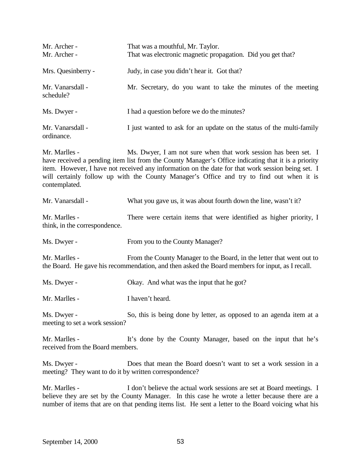| Mr. Archer -<br>Mr. Archer -                                                                                                                                                                                                                                                                                                                                                                              | That was a mouthful, Mr. Taylor.<br>That was electronic magnetic propagation. Did you get that? |
|-----------------------------------------------------------------------------------------------------------------------------------------------------------------------------------------------------------------------------------------------------------------------------------------------------------------------------------------------------------------------------------------------------------|-------------------------------------------------------------------------------------------------|
| Mrs. Quesinberry -                                                                                                                                                                                                                                                                                                                                                                                        | Judy, in case you didn't hear it. Got that?                                                     |
| Mr. Vanarsdall -<br>schedule?                                                                                                                                                                                                                                                                                                                                                                             | Mr. Secretary, do you want to take the minutes of the meeting                                   |
| Ms. Dwyer -                                                                                                                                                                                                                                                                                                                                                                                               | I had a question before we do the minutes?                                                      |
| Mr. Vanarsdall -<br>ordinance.                                                                                                                                                                                                                                                                                                                                                                            | I just wanted to ask for an update on the status of the multi-family                            |
| Mr. Marlles -<br>Ms. Dwyer, I am not sure when that work session has been set. I<br>have received a pending item list from the County Manager's Office indicating that it is a priority<br>item. However, I have not received any information on the date for that work session being set. I<br>will certainly follow up with the County Manager's Office and try to find out when it is<br>contemplated. |                                                                                                 |
| Mr. Vanarsdall -                                                                                                                                                                                                                                                                                                                                                                                          | What you gave us, it was about fourth down the line, wasn't it?                                 |
| Mr. Marlles -<br>think, in the correspondence.                                                                                                                                                                                                                                                                                                                                                            | There were certain items that were identified as higher priority, I                             |

Ms. Dwyer - From you to the County Manager?

Mr. Marlles - From the County Manager to the Board, in the letter that went out to the Board. He gave his recommendation, and then asked the Board members for input, as I recall.

Ms. Dwyer - Okay. And what was the input that he got?

Mr. Marlles - I haven't heard.

Ms. Dwyer - So, this is being done by letter, as opposed to an agenda item at a meeting to set a work session?

Mr. Marlles - It's done by the County Manager, based on the input that he's received from the Board members.

Ms. Dwyer - Does that mean the Board doesn't want to set a work session in a meeting? They want to do it by written correspondence?

Mr. Marlles - I don't believe the actual work sessions are set at Board meetings. I believe they are set by the County Manager. In this case he wrote a letter because there are a number of items that are on that pending items list. He sent a letter to the Board voicing what his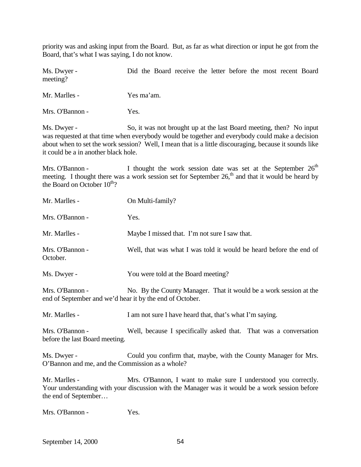priority was and asking input from the Board. But, as far as what direction or input he got from the Board, that's what I was saying, I do not know.

Ms. Dwyer - Did the Board receive the letter before the most recent Board meeting?

Mr. Marlles - Yes ma'am.

Mrs. O'Bannon - Yes.

Ms. Dwyer - So, it was not brought up at the last Board meeting, then? No input was requested at that time when everybody would be together and everybody could make a decision about when to set the work session? Well, I mean that is a little discouraging, because it sounds like it could be a in another black hole.

Mrs. O'Bannon - I thought the work session date was set at the September  $26<sup>th</sup>$ meeting. I thought there was a work session set for September 26,<sup>th</sup> and that it would be heard by the Board on October  $10^{th}$ ?

| Mr. Marlles -                                                               | On Multi-family?                                                                                                                                                 |
|-----------------------------------------------------------------------------|------------------------------------------------------------------------------------------------------------------------------------------------------------------|
| Mrs. O'Bannon -                                                             | Yes.                                                                                                                                                             |
| Mr. Marlles -                                                               | Maybe I missed that. I'm not sure I saw that.                                                                                                                    |
| Mrs. O'Bannon -<br>October.                                                 | Well, that was what I was told it would be heard before the end of                                                                                               |
| Ms. Dwyer -                                                                 | You were told at the Board meeting?                                                                                                                              |
| Mrs. O'Bannon -<br>end of September and we'd hear it by the end of October. | No. By the County Manager. That it would be a work session at the                                                                                                |
| Mr. Marlles -                                                               | I am not sure I have heard that, that's what I'm saying.                                                                                                         |
| Mrs. O'Bannon -<br>before the last Board meeting.                           | Well, because I specifically asked that. That was a conversation                                                                                                 |
| Ms. Dwyer -<br>O'Bannon and me, and the Commission as a whole?              | Could you confirm that, maybe, with the County Manager for Mrs.                                                                                                  |
| Mr. Marlles -<br>the end of September                                       | Mrs. O'Bannon, I want to make sure I understood you correctly.<br>Your understanding with your discussion with the Manager was it would be a work session before |

Mrs. O'Bannon - Yes.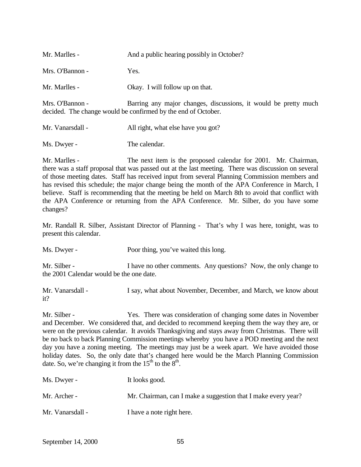| Mr. Marlles -    | And a public hearing possibly in October?                                                                                        |
|------------------|----------------------------------------------------------------------------------------------------------------------------------|
| Mrs. O'Bannon -  | Yes.                                                                                                                             |
| Mr. Marlles -    | Okay. I will follow up on that.                                                                                                  |
| Mrs. O'Bannon -  | Barring any major changes, discussions, it would be pretty much<br>decided. The change would be confirmed by the end of October. |
| Mr. Vanarsdall - | All right, what else have you got?                                                                                               |

Ms. Dwyer - The calendar.

Mr. Marlles - The next item is the proposed calendar for 2001. Mr. Chairman, there was a staff proposal that was passed out at the last meeting. There was discussion on several of those meeting dates. Staff has received input from several Planning Commission members and has revised this schedule; the major change being the month of the APA Conference in March, I believe. Staff is recommending that the meeting be held on March 8th to avoid that conflict with the APA Conference or returning from the APA Conference. Mr. Silber, do you have some changes?

Mr. Randall R. Silber, Assistant Director of Planning - That's why I was here, tonight, was to present this calendar.

Ms. Dwyer - Poor thing, you've waited this long.

Mr. Silber - I have no other comments. Any questions? Now, the only change to the 2001 Calendar would be the one date.

Mr. Vanarsdall - I say, what about November, December, and March, we know about it?

Mr. Silber - Yes. There was consideration of changing some dates in November and December. We considered that, and decided to recommend keeping them the way they are, or were on the previous calendar. It avoids Thanksgiving and stays away from Christmas. There will be no back to back Planning Commission meetings whereby you have a POD meeting and the next day you have a zoning meeting. The meetings may just be a week apart. We have avoided those holiday dates. So, the only date that's changed here would be the March Planning Commission date. So, we're changing it from the  $15<sup>th</sup>$  to the  $8<sup>th</sup>$ .

| Ms. Dwyer -      | It looks good.                                                |
|------------------|---------------------------------------------------------------|
| Mr. Archer -     | Mr. Chairman, can I make a suggestion that I make every year? |
| Mr. Vanarsdall - | I have a note right here.                                     |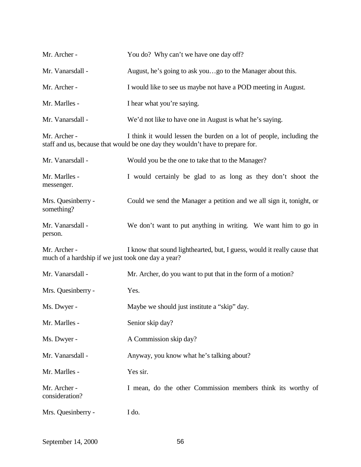| Mr. Archer -                                                       | You do? Why can't we have one day off?                                                                                                                 |
|--------------------------------------------------------------------|--------------------------------------------------------------------------------------------------------------------------------------------------------|
| Mr. Vanarsdall -                                                   | August, he's going to ask yougo to the Manager about this.                                                                                             |
| Mr. Archer -                                                       | I would like to see us maybe not have a POD meeting in August.                                                                                         |
| Mr. Marlles -                                                      | I hear what you're saying.                                                                                                                             |
| Mr. Vanarsdall -                                                   | We'd not like to have one in August is what he's saying.                                                                                               |
| Mr. Archer -                                                       | I think it would lessen the burden on a lot of people, including the<br>staff and us, because that would be one day they wouldn't have to prepare for. |
| Mr. Vanarsdall -                                                   | Would you be the one to take that to the Manager?                                                                                                      |
| Mr. Marlles -<br>messenger.                                        | I would certainly be glad to as long as they don't shoot the                                                                                           |
| Mrs. Quesinberry -<br>something?                                   | Could we send the Manager a petition and we all sign it, tonight, or                                                                                   |
| Mr. Vanarsdall -<br>person.                                        | We don't want to put anything in writing. We want him to go in                                                                                         |
| Mr. Archer -<br>much of a hardship if we just took one day a year? | I know that sound lighthearted, but, I guess, would it really cause that                                                                               |
| Mr. Vanarsdall -                                                   | Mr. Archer, do you want to put that in the form of a motion?                                                                                           |
| Mrs. Quesinberry -                                                 | Yes.                                                                                                                                                   |
| Ms. Dwyer -                                                        | Maybe we should just institute a "skip" day.                                                                                                           |
| Mr. Marlles -                                                      | Senior skip day?                                                                                                                                       |
| Ms. Dwyer -                                                        | A Commission skip day?                                                                                                                                 |
| Mr. Vanarsdall -                                                   | Anyway, you know what he's talking about?                                                                                                              |
| Mr. Marlles -                                                      | Yes sir.                                                                                                                                               |
| Mr. Archer -<br>consideration?                                     | I mean, do the other Commission members think its worthy of                                                                                            |
| Mrs. Quesinberry -                                                 | I do.                                                                                                                                                  |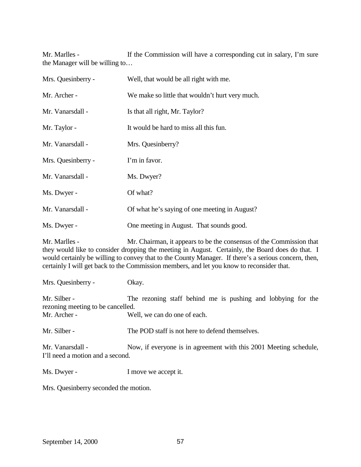Mr. Marlles - If the Commission will have a corresponding cut in salary, I'm sure the Manager will be willing to…

| Mrs. Quesinberry - | Well, that would be all right with me.          |
|--------------------|-------------------------------------------------|
| Mr. Archer -       | We make so little that wouldn't hurt very much. |
| Mr. Vanarsdall -   | Is that all right, Mr. Taylor?                  |
| Mr. Taylor -       | It would be hard to miss all this fun.          |
| Mr. Vanarsdall -   | Mrs. Quesinberry?                               |
| Mrs. Quesinberry - | I'm in favor.                                   |
| Mr. Vanarsdall -   | Ms. Dwyer?                                      |
| Ms. Dwyer -        | Of what?                                        |
| Mr. Vanarsdall -   | Of what he's saying of one meeting in August?   |
| Ms. Dwyer -        | One meeting in August. That sounds good.        |

Mr. Marlles - Mr. Chairman, it appears to be the consensus of the Commission that they would like to consider dropping the meeting in August. Certainly, the Board does do that. I would certainly be willing to convey that to the County Manager. If there's a serious concern, then, certainly I will get back to the Commission members, and let you know to reconsider that.

Mrs. Quesinberry - Okay.

Mr. Silber - The rezoning staff behind me is pushing and lobbying for the rezoning meeting to be cancelled. Mr. Archer - Well, we can do one of each.

Mr. Silber - The POD staff is not here to defend themselves.

Mr. Vanarsdall - Now, if everyone is in agreement with this 2001 Meeting schedule, I'll need a motion and a second.

Ms. Dwyer - I move we accept it.

Mrs. Quesinberry seconded the motion.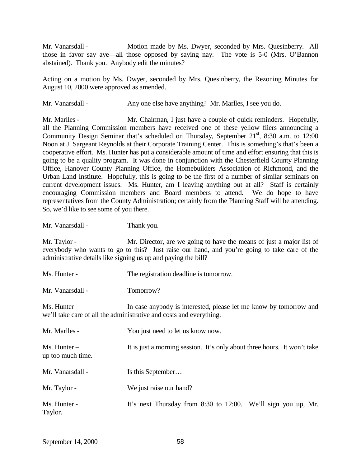Mr. Vanarsdall - Motion made by Ms. Dwyer, seconded by Mrs. Quesinberry. All those in favor say aye—all those opposed by saying nay. The vote is 5-0 (Mrs. O'Bannon abstained). Thank you. Anybody edit the minutes?

Acting on a motion by Ms. Dwyer, seconded by Mrs. Quesinberry, the Rezoning Minutes for August 10, 2000 were approved as amended.

Mr. Vanarsdall - Any one else have anything? Mr. Marlles, I see you do.

Mr. Marlles - Mr. Chairman, I just have a couple of quick reminders. Hopefully, all the Planning Commission members have received one of these yellow fliers announcing a Community Design Seminar that's scheduled on Thursday, September 21<sup>st</sup>, 8:30 a.m. to 12:00 Noon at J. Sargeant Reynolds at their Corporate Training Center. This is something's that's been a cooperative effort. Ms. Hunter has put a considerable amount of time and effort ensuring that this is going to be a quality program. It was done in conjunction with the Chesterfield County Planning Office, Hanover County Planning Office, the Homebuilders Association of Richmond, and the Urban Land Institute. Hopefully, this is going to be the first of a number of similar seminars on current development issues. Ms. Hunter, am I leaving anything out at all? Staff is certainly encouraging Commission members and Board members to attend. We do hope to have representatives from the County Administration; certainly from the Planning Staff will be attending. So, we'd like to see some of you there.

Mr. Vanarsdall - Thank you.

Mr. Taylor - We just raise our hand?

Mr. Taylor - Mr. Director, are we going to have the means of just a major list of everybody who wants to go to this? Just raise our hand, and you're going to take care of the administrative details like signing us up and paying the bill?

Ms. Hunter - The registration deadline is tomorrow. Mr. Vanarsdall - Tomorrow? Ms. Hunter In case anybody is interested, please let me know by tomorrow and we'll take care of all the administrative and costs and everything. Mr. Marlles - You just need to let us know now. Ms. Hunter – It is just a morning session. It's only about three hours. It won't take up too much time. Mr. Vanarsdall - Is this September...

Ms. Hunter - It's next Thursday from 8:30 to 12:00. We'll sign you up, Mr.

Taylor.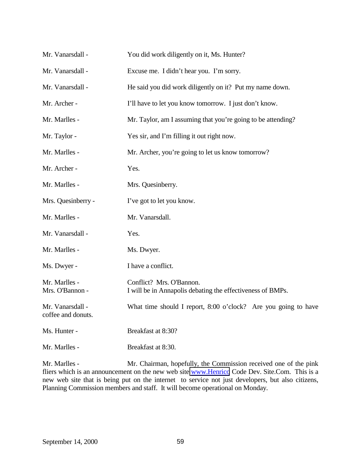| Mr. Vanarsdall -                       | You did work diligently on it, Ms. Hunter?                                             |
|----------------------------------------|----------------------------------------------------------------------------------------|
| Mr. Vanarsdall -                       | Excuse me. I didn't hear you. I'm sorry.                                               |
| Mr. Vanarsdall -                       | He said you did work diligently on it? Put my name down.                               |
| Mr. Archer -                           | I'll have to let you know tomorrow. I just don't know.                                 |
| Mr. Marlles -                          | Mr. Taylor, am I assuming that you're going to be attending?                           |
| Mr. Taylor -                           | Yes sir, and I'm filling it out right now.                                             |
| Mr. Marlles -                          | Mr. Archer, you're going to let us know tomorrow?                                      |
| Mr. Archer -                           | Yes.                                                                                   |
| Mr. Marlles -                          | Mrs. Quesinberry.                                                                      |
| Mrs. Quesinberry -                     | I've got to let you know.                                                              |
| Mr. Marlles -                          | Mr. Vanarsdall.                                                                        |
| Mr. Vanarsdall -                       | Yes.                                                                                   |
| Mr. Marlles -                          | Ms. Dwyer.                                                                             |
| Ms. Dwyer -                            | I have a conflict.                                                                     |
| Mr. Marlles -<br>Mrs. O'Bannon -       | Conflict? Mrs. O'Bannon.<br>I will be in Annapolis debating the effectiveness of BMPs. |
| Mr. Vanarsdall -<br>coffee and donuts. | What time should I report, 8:00 o'clock? Are you going to have                         |
| Ms. Hunter -                           | Breakfast at 8:30?                                                                     |
| Mr. Marlles -                          | Breakfast at 8:30.                                                                     |

Mr. Marlles - Mr. Chairman, hopefully, the Commission received one of the pink fliers which is an announcement on the new web site [www.Henrico](http://www.henrico/) Code Dev. Site.Com. This is a new web site that is being put on the internet to service not just developers, but also citizens, Planning Commission members and staff. It will become operational on Monday.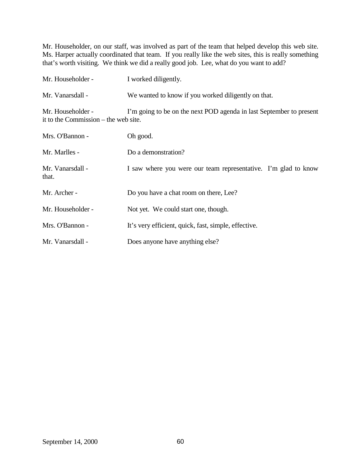Mr. Householder, on our staff, was involved as part of the team that helped develop this web site. Ms. Harper actually coordinated that team. If you really like the web sites, this is really something that's worth visiting. We think we did a really good job. Lee, what do you want to add?

| Mr. Householder -                                         | I worked diligently.                                                |
|-----------------------------------------------------------|---------------------------------------------------------------------|
| Mr. Vanarsdall -                                          | We wanted to know if you worked diligently on that.                 |
| Mr. Householder -<br>it to the Commission – the web site. | I'm going to be on the next POD agenda in last September to present |
| Mrs. O'Bannon -                                           | Oh good.                                                            |
| Mr. Marlles -                                             | Do a demonstration?                                                 |
| Mr. Vanarsdall -<br>that.                                 | I saw where you were our team representative. I'm glad to know      |
| Mr. Archer -                                              | Do you have a chat room on there, Lee?                              |
| Mr. Householder -                                         | Not yet. We could start one, though.                                |
| Mrs. O'Bannon -                                           | It's very efficient, quick, fast, simple, effective.                |
| Mr. Vanarsdall -                                          | Does anyone have anything else?                                     |